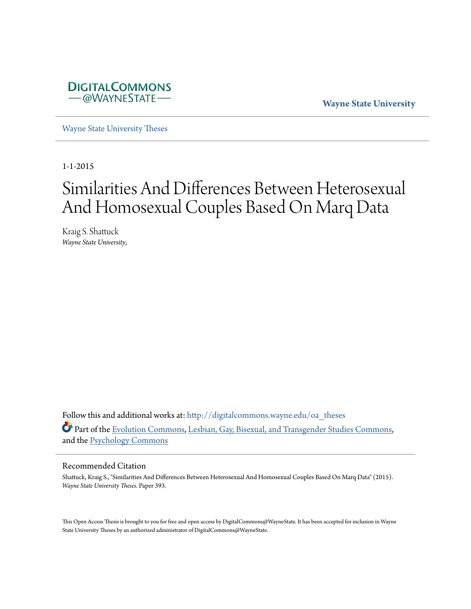

**Wayne State University**

[Wayne State University Theses](http://digitalcommons.wayne.edu/oa_theses?utm_source=digitalcommons.wayne.edu%2Foa_theses%2F393&utm_medium=PDF&utm_campaign=PDFCoverPages)

1-1-2015

# Similarities And Differences Between Heterosexual And Homosexual Couples Based On Marq Data

Kraig S. Shattuck *Wayne State University*,

Follow this and additional works at: [http://digitalcommons.wayne.edu/oa\\_theses](http://digitalcommons.wayne.edu/oa_theses?utm_source=digitalcommons.wayne.edu%2Foa_theses%2F393&utm_medium=PDF&utm_campaign=PDFCoverPages) Part of the [Evolution Commons,](http://network.bepress.com/hgg/discipline/18?utm_source=digitalcommons.wayne.edu%2Foa_theses%2F393&utm_medium=PDF&utm_campaign=PDFCoverPages) [Lesbian, Gay, Bisexual, and Transgender Studies Commons,](http://network.bepress.com/hgg/discipline/560?utm_source=digitalcommons.wayne.edu%2Foa_theses%2F393&utm_medium=PDF&utm_campaign=PDFCoverPages) and the [Psychology Commons](http://network.bepress.com/hgg/discipline/404?utm_source=digitalcommons.wayne.edu%2Foa_theses%2F393&utm_medium=PDF&utm_campaign=PDFCoverPages)

#### Recommended Citation

Shattuck, Kraig S., "Similarities And Differences Between Heterosexual And Homosexual Couples Based On Marq Data" (2015). *Wayne State University Theses.* Paper 393.

This Open Access Thesis is brought to you for free and open access by DigitalCommons@WayneState. It has been accepted for inclusion in Wayne State University Theses by an authorized administrator of DigitalCommons@WayneState.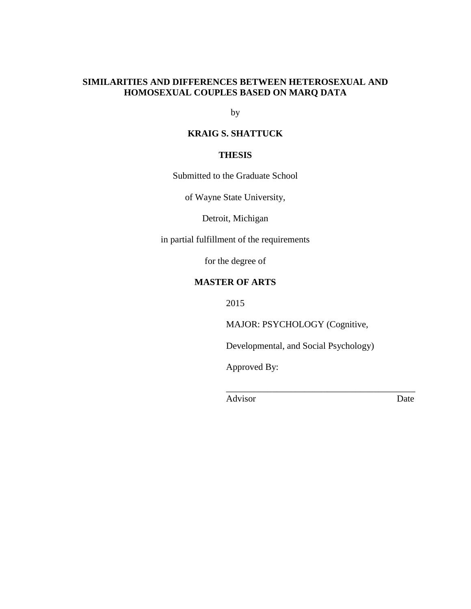# **SIMILARITIES AND DIFFERENCES BETWEEN HETEROSEXUAL AND HOMOSEXUAL COUPLES BASED ON MARQ DATA**

by

# **KRAIG S. SHATTUCK**

# **THESIS**

Submitted to the Graduate School

of Wayne State University,

Detroit, Michigan

in partial fulfillment of the requirements

for the degree of

# **MASTER OF ARTS**

2015

MAJOR: PSYCHOLOGY (Cognitive,

Developmental, and Social Psychology)

 $\frac{1}{2}$  , and the set of the set of the set of the set of the set of the set of the set of the set of the set of the set of the set of the set of the set of the set of the set of the set of the set of the set of the set

Approved By:

Advisor Date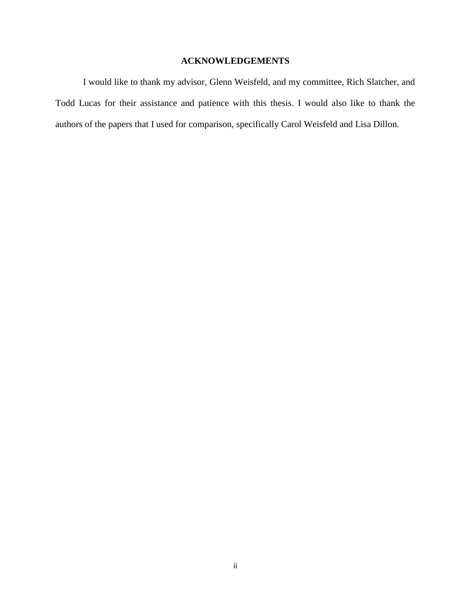# **ACKNOWLEDGEMENTS**

I would like to thank my advisor, Glenn Weisfeld, and my committee, Rich Slatcher, and Todd Lucas for their assistance and patience with this thesis. I would also like to thank the authors of the papers that I used for comparison, specifically Carol Weisfeld and Lisa Dillon.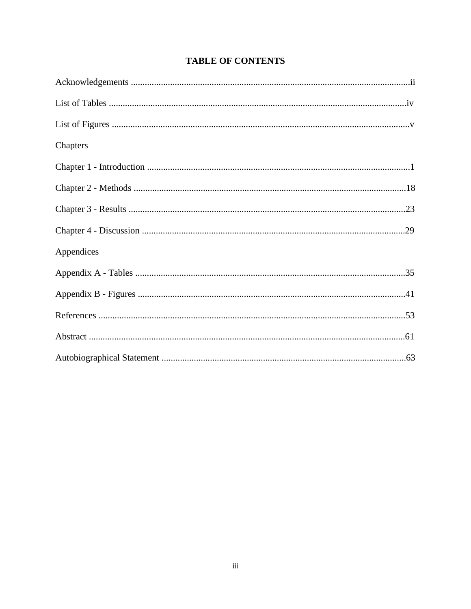| Chapters   |  |
|------------|--|
|            |  |
|            |  |
|            |  |
|            |  |
| Appendices |  |
|            |  |
|            |  |
|            |  |
|            |  |
|            |  |

# **TABLE OF CONTENTS**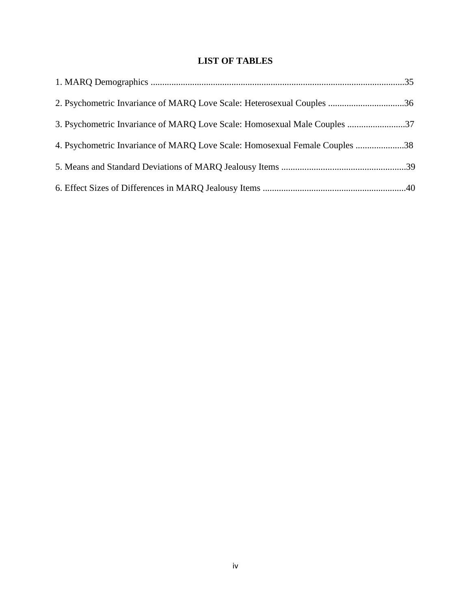# **LIST OF TABLES**

| 2. Psychometric Invariance of MARQ Love Scale: Heterosexual Couples 36      |  |
|-----------------------------------------------------------------------------|--|
| 37. Psychometric Invariance of MARQ Love Scale: Homosexual Male Couples 37  |  |
| 4. Psychometric Invariance of MARQ Love Scale: Homosexual Female Couples 38 |  |
|                                                                             |  |
|                                                                             |  |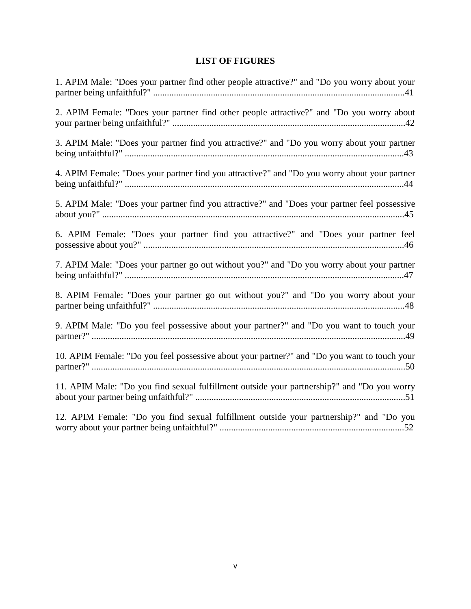# **LIST OF FIGURES**

| 1. APIM Male: "Does your partner find other people attractive?" and "Do you worry about your  |
|-----------------------------------------------------------------------------------------------|
| 2. APIM Female: "Does your partner find other people attractive?" and "Do you worry about     |
| 3. APIM Male: "Does your partner find you attractive?" and "Do you worry about your partner   |
| 4. APIM Female: "Does your partner find you attractive?" and "Do you worry about your partner |
| 5. APIM Male: "Does your partner find you attractive?" and "Does your partner feel possessive |
| 6. APIM Female: "Does your partner find you attractive?" and "Does your partner feel          |
| 7. APIM Male: "Does your partner go out without you?" and "Do you worry about your partner    |
| 8. APIM Female: "Does your partner go out without you?" and "Do you worry about your          |
| 9. APIM Male: "Do you feel possessive about your partner?" and "Do you want to touch your     |
| 10. APIM Female: "Do you feel possessive about your partner?" and "Do you want to touch your  |
| 11. APIM Male: "Do you find sexual fulfillment outside your partnership?" and "Do you worry   |
| 12. APIM Female: "Do you find sexual fulfillment outside your partnership?" and "Do you       |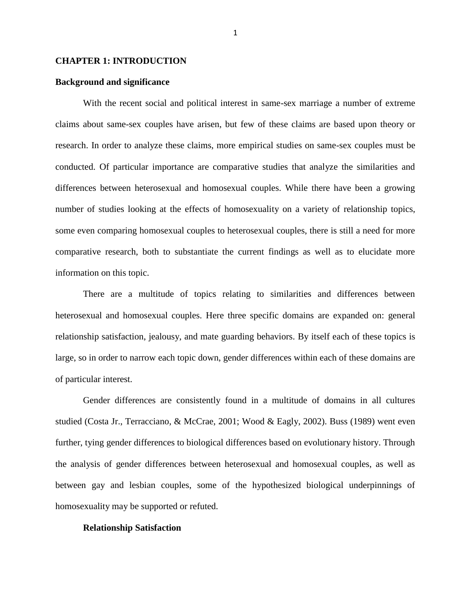### **CHAPTER 1: INTRODUCTION**

# **Background and significance**

With the recent social and political interest in same-sex marriage a number of extreme claims about same-sex couples have arisen, but few of these claims are based upon theory or research. In order to analyze these claims, more empirical studies on same-sex couples must be conducted. Of particular importance are comparative studies that analyze the similarities and differences between heterosexual and homosexual couples. While there have been a growing number of studies looking at the effects of homosexuality on a variety of relationship topics, some even comparing homosexual couples to heterosexual couples, there is still a need for more comparative research, both to substantiate the current findings as well as to elucidate more information on this topic.

There are a multitude of topics relating to similarities and differences between heterosexual and homosexual couples. Here three specific domains are expanded on: general relationship satisfaction, jealousy, and mate guarding behaviors. By itself each of these topics is large, so in order to narrow each topic down, gender differences within each of these domains are of particular interest.

Gender differences are consistently found in a multitude of domains in all cultures studied (Costa Jr., Terracciano, & McCrae, 2001; Wood & Eagly, 2002). Buss (1989) went even further, tying gender differences to biological differences based on evolutionary history. Through the analysis of gender differences between heterosexual and homosexual couples, as well as between gay and lesbian couples, some of the hypothesized biological underpinnings of homosexuality may be supported or refuted.

#### **Relationship Satisfaction**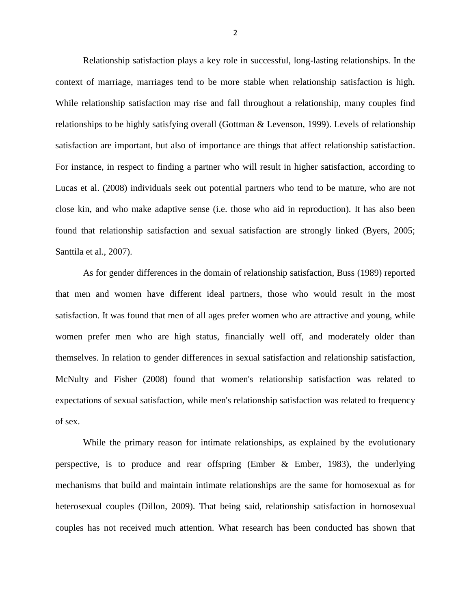Relationship satisfaction plays a key role in successful, long-lasting relationships. In the context of marriage, marriages tend to be more stable when relationship satisfaction is high. While relationship satisfaction may rise and fall throughout a relationship, many couples find relationships to be highly satisfying overall (Gottman & Levenson, 1999). Levels of relationship satisfaction are important, but also of importance are things that affect relationship satisfaction. For instance, in respect to finding a partner who will result in higher satisfaction, according to Lucas et al. (2008) individuals seek out potential partners who tend to be mature, who are not close kin, and who make adaptive sense (i.e. those who aid in reproduction). It has also been found that relationship satisfaction and sexual satisfaction are strongly linked (Byers, 2005; Santtila et al., 2007).

As for gender differences in the domain of relationship satisfaction, Buss (1989) reported that men and women have different ideal partners, those who would result in the most satisfaction. It was found that men of all ages prefer women who are attractive and young, while women prefer men who are high status, financially well off, and moderately older than themselves. In relation to gender differences in sexual satisfaction and relationship satisfaction, McNulty and Fisher (2008) found that women's relationship satisfaction was related to expectations of sexual satisfaction, while men's relationship satisfaction was related to frequency of sex.

While the primary reason for intimate relationships, as explained by the evolutionary perspective, is to produce and rear offspring (Ember & Ember, 1983), the underlying mechanisms that build and maintain intimate relationships are the same for homosexual as for heterosexual couples (Dillon, 2009). That being said, relationship satisfaction in homosexual couples has not received much attention. What research has been conducted has shown that

2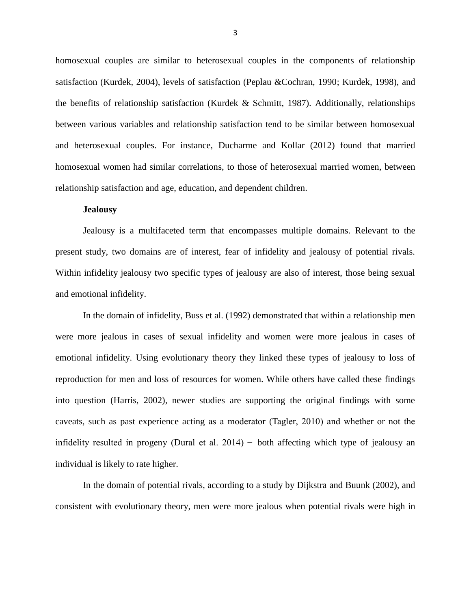homosexual couples are similar to heterosexual couples in the components of relationship satisfaction (Kurdek, 2004), levels of satisfaction (Peplau &Cochran, 1990; Kurdek, 1998), and the benefits of relationship satisfaction (Kurdek & Schmitt, 1987). Additionally, relationships between various variables and relationship satisfaction tend to be similar between homosexual and heterosexual couples. For instance, Ducharme and Kollar (2012) found that married homosexual women had similar correlations, to those of heterosexual married women, between relationship satisfaction and age, education, and dependent children.

### **Jealousy**

Jealousy is a multifaceted term that encompasses multiple domains. Relevant to the present study, two domains are of interest, fear of infidelity and jealousy of potential rivals. Within infidelity jealousy two specific types of jealousy are also of interest, those being sexual and emotional infidelity.

In the domain of infidelity, Buss et al. (1992) demonstrated that within a relationship men were more jealous in cases of sexual infidelity and women were more jealous in cases of emotional infidelity. Using evolutionary theory they linked these types of jealousy to loss of reproduction for men and loss of resources for women. While others have called these findings into question (Harris, 2002), newer studies are supporting the original findings with some caveats, such as past experience acting as a moderator (Tagler, 2010) and whether or not the infidelity resulted in progeny (Dural et al.  $2014$ ) – both affecting which type of jealousy an individual is likely to rate higher.

In the domain of potential rivals, according to a study by Dijkstra and Buunk (2002), and consistent with evolutionary theory, men were more jealous when potential rivals were high in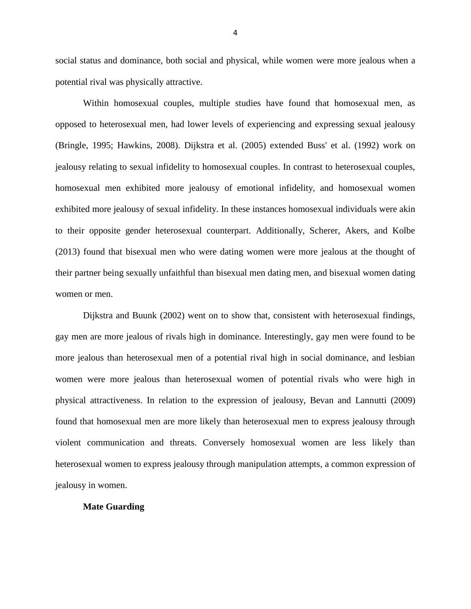social status and dominance, both social and physical, while women were more jealous when a potential rival was physically attractive.

Within homosexual couples, multiple studies have found that homosexual men, as opposed to heterosexual men, had lower levels of experiencing and expressing sexual jealousy (Bringle, 1995; Hawkins, 2008). Dijkstra et al. (2005) extended Buss' et al. (1992) work on jealousy relating to sexual infidelity to homosexual couples. In contrast to heterosexual couples, homosexual men exhibited more jealousy of emotional infidelity, and homosexual women exhibited more jealousy of sexual infidelity. In these instances homosexual individuals were akin to their opposite gender heterosexual counterpart. Additionally, Scherer, Akers, and Kolbe (2013) found that bisexual men who were dating women were more jealous at the thought of their partner being sexually unfaithful than bisexual men dating men, and bisexual women dating women or men.

Dijkstra and Buunk (2002) went on to show that, consistent with heterosexual findings, gay men are more jealous of rivals high in dominance. Interestingly, gay men were found to be more jealous than heterosexual men of a potential rival high in social dominance, and lesbian women were more jealous than heterosexual women of potential rivals who were high in physical attractiveness. In relation to the expression of jealousy, Bevan and Lannutti (2009) found that homosexual men are more likely than heterosexual men to express jealousy through violent communication and threats. Conversely homosexual women are less likely than heterosexual women to express jealousy through manipulation attempts, a common expression of jealousy in women.

# **Mate Guarding**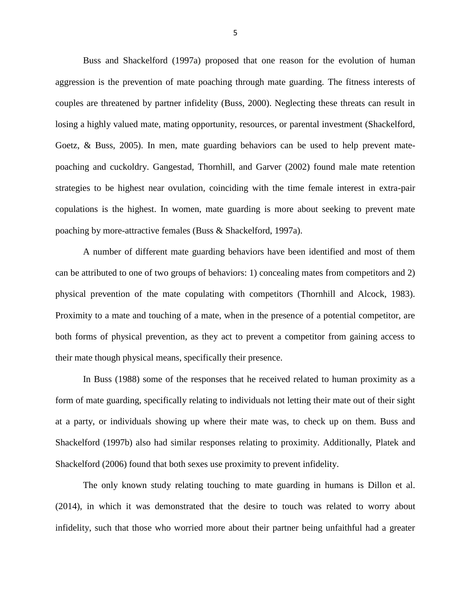Buss and Shackelford (1997a) proposed that one reason for the evolution of human aggression is the prevention of mate poaching through mate guarding. The fitness interests of couples are threatened by partner infidelity (Buss, 2000). Neglecting these threats can result in losing a highly valued mate, mating opportunity, resources, or parental investment (Shackelford, Goetz, & Buss, 2005). In men, mate guarding behaviors can be used to help prevent matepoaching and cuckoldry. Gangestad, Thornhill, and Garver (2002) found male mate retention strategies to be highest near ovulation, coinciding with the time female interest in extra-pair copulations is the highest. In women, mate guarding is more about seeking to prevent mate poaching by more-attractive females (Buss & Shackelford, 1997a).

A number of different mate guarding behaviors have been identified and most of them can be attributed to one of two groups of behaviors: 1) concealing mates from competitors and 2) physical prevention of the mate copulating with competitors (Thornhill and Alcock, 1983). Proximity to a mate and touching of a mate, when in the presence of a potential competitor, are both forms of physical prevention, as they act to prevent a competitor from gaining access to their mate though physical means, specifically their presence.

In Buss (1988) some of the responses that he received related to human proximity as a form of mate guarding, specifically relating to individuals not letting their mate out of their sight at a party, or individuals showing up where their mate was, to check up on them. Buss and Shackelford (1997b) also had similar responses relating to proximity. Additionally, Platek and Shackelford (2006) found that both sexes use proximity to prevent infidelity.

The only known study relating touching to mate guarding in humans is Dillon et al. (2014), in which it was demonstrated that the desire to touch was related to worry about infidelity, such that those who worried more about their partner being unfaithful had a greater

5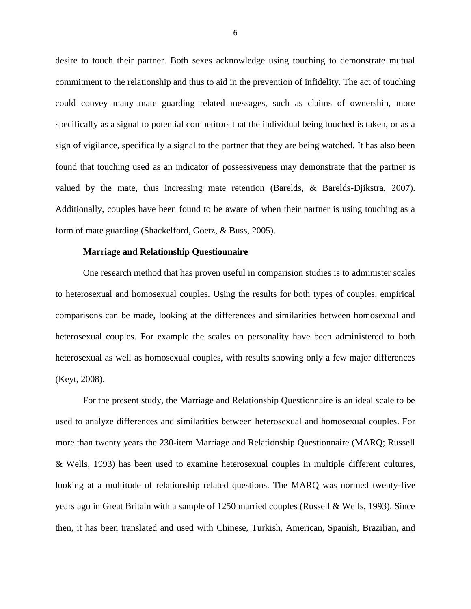desire to touch their partner. Both sexes acknowledge using touching to demonstrate mutual commitment to the relationship and thus to aid in the prevention of infidelity. The act of touching could convey many mate guarding related messages, such as claims of ownership, more specifically as a signal to potential competitors that the individual being touched is taken, or as a sign of vigilance, specifically a signal to the partner that they are being watched. It has also been found that touching used as an indicator of possessiveness may demonstrate that the partner is valued by the mate, thus increasing mate retention (Barelds, & Barelds-Djikstra, 2007). Additionally, couples have been found to be aware of when their partner is using touching as a form of mate guarding (Shackelford, Goetz, & Buss, 2005).

## **Marriage and Relationship Questionnaire**

One research method that has proven useful in comparision studies is to administer scales to heterosexual and homosexual couples. Using the results for both types of couples, empirical comparisons can be made, looking at the differences and similarities between homosexual and heterosexual couples. For example the scales on personality have been administered to both heterosexual as well as homosexual couples, with results showing only a few major differences (Keyt, 2008).

For the present study, the Marriage and Relationship Questionnaire is an ideal scale to be used to analyze differences and similarities between heterosexual and homosexual couples. For more than twenty years the 230-item Marriage and Relationship Questionnaire (MARQ; Russell & Wells, 1993) has been used to examine heterosexual couples in multiple different cultures, looking at a multitude of relationship related questions. The MARQ was normed twenty-five years ago in Great Britain with a sample of 1250 married couples (Russell & Wells, 1993). Since then, it has been translated and used with Chinese, Turkish, American, Spanish, Brazilian, and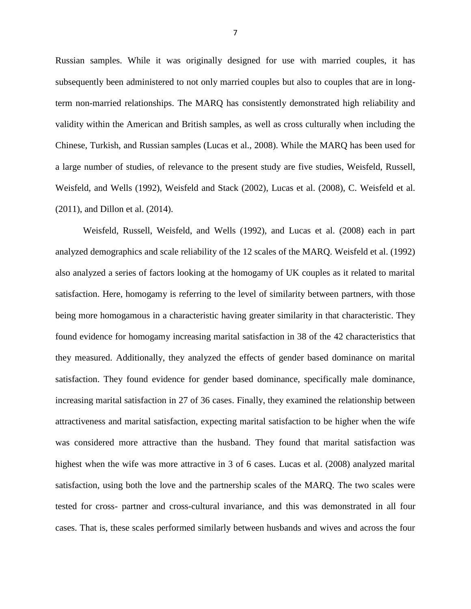Russian samples. While it was originally designed for use with married couples, it has subsequently been administered to not only married couples but also to couples that are in longterm non-married relationships. The MARQ has consistently demonstrated high reliability and validity within the American and British samples, as well as cross culturally when including the Chinese, Turkish, and Russian samples (Lucas et al., 2008). While the MARQ has been used for a large number of studies, of relevance to the present study are five studies, Weisfeld, Russell, Weisfeld, and Wells (1992), Weisfeld and Stack (2002), Lucas et al. (2008), C. Weisfeld et al. (2011), and Dillon et al. (2014).

Weisfeld, Russell, Weisfeld, and Wells (1992), and Lucas et al. (2008) each in part analyzed demographics and scale reliability of the 12 scales of the MARQ. Weisfeld et al. (1992) also analyzed a series of factors looking at the homogamy of UK couples as it related to marital satisfaction. Here, homogamy is referring to the level of similarity between partners, with those being more homogamous in a characteristic having greater similarity in that characteristic. They found evidence for homogamy increasing marital satisfaction in 38 of the 42 characteristics that they measured. Additionally, they analyzed the effects of gender based dominance on marital satisfaction. They found evidence for gender based dominance, specifically male dominance, increasing marital satisfaction in 27 of 36 cases. Finally, they examined the relationship between attractiveness and marital satisfaction, expecting marital satisfaction to be higher when the wife was considered more attractive than the husband. They found that marital satisfaction was highest when the wife was more attractive in 3 of 6 cases. Lucas et al. (2008) analyzed marital satisfaction, using both the love and the partnership scales of the MARQ. The two scales were tested for cross- partner and cross-cultural invariance, and this was demonstrated in all four cases. That is, these scales performed similarly between husbands and wives and across the four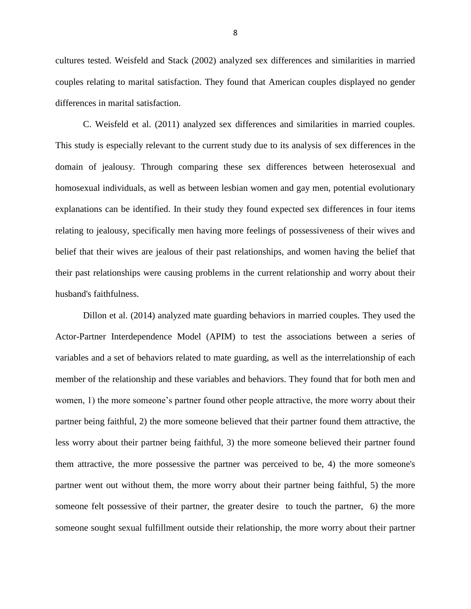cultures tested. Weisfeld and Stack (2002) analyzed sex differences and similarities in married couples relating to marital satisfaction. They found that American couples displayed no gender differences in marital satisfaction.

C. Weisfeld et al. (2011) analyzed sex differences and similarities in married couples. This study is especially relevant to the current study due to its analysis of sex differences in the domain of jealousy. Through comparing these sex differences between heterosexual and homosexual individuals, as well as between lesbian women and gay men, potential evolutionary explanations can be identified. In their study they found expected sex differences in four items relating to jealousy, specifically men having more feelings of possessiveness of their wives and belief that their wives are jealous of their past relationships, and women having the belief that their past relationships were causing problems in the current relationship and worry about their husband's faithfulness.

Dillon et al. (2014) analyzed mate guarding behaviors in married couples. They used the Actor-Partner Interdependence Model (APIM) to test the associations between a series of variables and a set of behaviors related to mate guarding, as well as the interrelationship of each member of the relationship and these variables and behaviors. They found that for both men and women, 1) the more someone's partner found other people attractive, the more worry about their partner being faithful, 2) the more someone believed that their partner found them attractive, the less worry about their partner being faithful, 3) the more someone believed their partner found them attractive, the more possessive the partner was perceived to be, 4) the more someone's partner went out without them, the more worry about their partner being faithful, 5) the more someone felt possessive of their partner, the greater desire to touch the partner, 6) the more someone sought sexual fulfillment outside their relationship, the more worry about their partner

8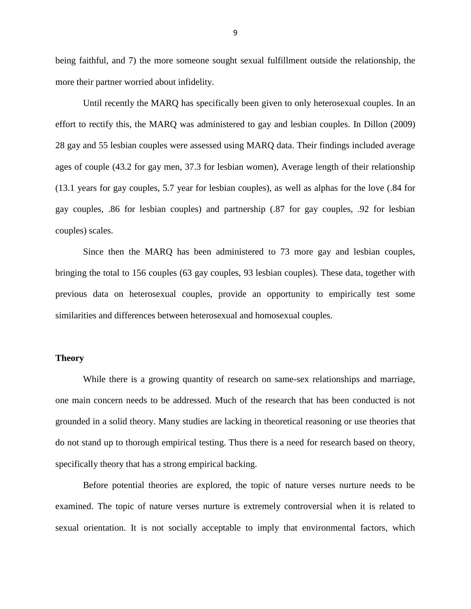being faithful, and 7) the more someone sought sexual fulfillment outside the relationship, the more their partner worried about infidelity.

Until recently the MARQ has specifically been given to only heterosexual couples. In an effort to rectify this, the MARQ was administered to gay and lesbian couples. In Dillon (2009) 28 gay and 55 lesbian couples were assessed using MARQ data. Their findings included average ages of couple (43.2 for gay men, 37.3 for lesbian women), Average length of their relationship (13.1 years for gay couples, 5.7 year for lesbian couples), as well as alphas for the love (.84 for gay couples, .86 for lesbian couples) and partnership (.87 for gay couples, .92 for lesbian couples) scales.

Since then the MARQ has been administered to 73 more gay and lesbian couples, bringing the total to 156 couples (63 gay couples, 93 lesbian couples). These data, together with previous data on heterosexual couples, provide an opportunity to empirically test some similarities and differences between heterosexual and homosexual couples.

# **Theory**

While there is a growing quantity of research on same-sex relationships and marriage, one main concern needs to be addressed. Much of the research that has been conducted is not grounded in a solid theory. Many studies are lacking in theoretical reasoning or use theories that do not stand up to thorough empirical testing. Thus there is a need for research based on theory, specifically theory that has a strong empirical backing.

Before potential theories are explored, the topic of nature verses nurture needs to be examined. The topic of nature verses nurture is extremely controversial when it is related to sexual orientation. It is not socially acceptable to imply that environmental factors, which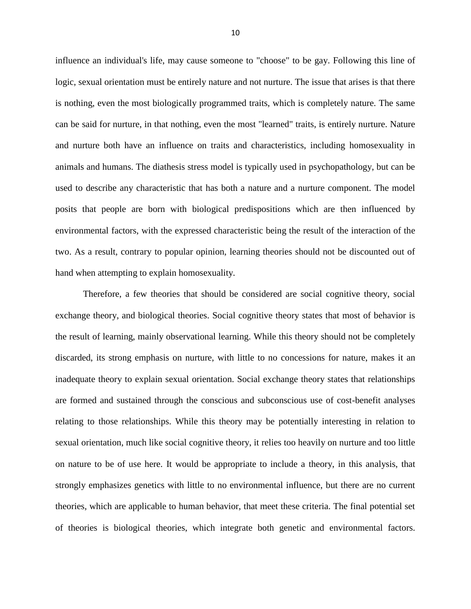influence an individual's life, may cause someone to "choose" to be gay. Following this line of logic, sexual orientation must be entirely nature and not nurture. The issue that arises is that there is nothing, even the most biologically programmed traits, which is completely nature. The same can be said for nurture, in that nothing, even the most "learned" traits, is entirely nurture. Nature and nurture both have an influence on traits and characteristics, including homosexuality in animals and humans. The diathesis stress model is typically used in psychopathology, but can be used to describe any characteristic that has both a nature and a nurture component. The model posits that people are born with biological predispositions which are then influenced by environmental factors, with the expressed characteristic being the result of the interaction of the two. As a result, contrary to popular opinion, learning theories should not be discounted out of hand when attempting to explain homosexuality.

Therefore, a few theories that should be considered are social cognitive theory, social exchange theory, and biological theories. Social cognitive theory states that most of behavior is the result of learning, mainly observational learning. While this theory should not be completely discarded, its strong emphasis on nurture, with little to no concessions for nature, makes it an inadequate theory to explain sexual orientation. Social exchange theory states that relationships are formed and sustained through the conscious and subconscious use of cost-benefit analyses relating to those relationships. While this theory may be potentially interesting in relation to sexual orientation, much like social cognitive theory, it relies too heavily on nurture and too little on nature to be of use here. It would be appropriate to include a theory, in this analysis, that strongly emphasizes genetics with little to no environmental influence, but there are no current theories, which are applicable to human behavior, that meet these criteria. The final potential set of theories is biological theories, which integrate both genetic and environmental factors.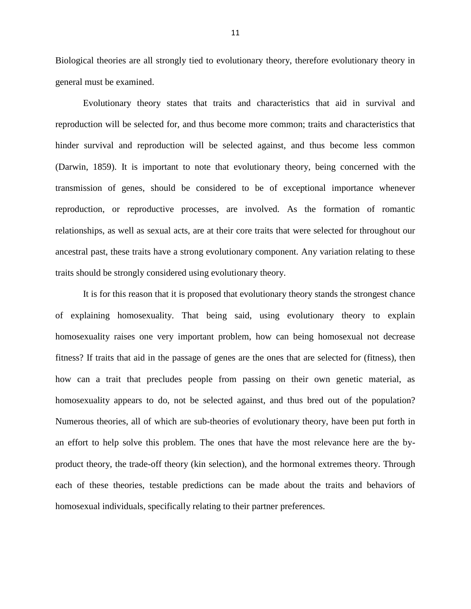Biological theories are all strongly tied to evolutionary theory, therefore evolutionary theory in general must be examined.

Evolutionary theory states that traits and characteristics that aid in survival and reproduction will be selected for, and thus become more common; traits and characteristics that hinder survival and reproduction will be selected against, and thus become less common (Darwin, 1859). It is important to note that evolutionary theory, being concerned with the transmission of genes, should be considered to be of exceptional importance whenever reproduction, or reproductive processes, are involved. As the formation of romantic relationships, as well as sexual acts, are at their core traits that were selected for throughout our ancestral past, these traits have a strong evolutionary component. Any variation relating to these traits should be strongly considered using evolutionary theory.

It is for this reason that it is proposed that evolutionary theory stands the strongest chance of explaining homosexuality. That being said, using evolutionary theory to explain homosexuality raises one very important problem, how can being homosexual not decrease fitness? If traits that aid in the passage of genes are the ones that are selected for (fitness), then how can a trait that precludes people from passing on their own genetic material, as homosexuality appears to do, not be selected against, and thus bred out of the population? Numerous theories, all of which are sub-theories of evolutionary theory, have been put forth in an effort to help solve this problem. The ones that have the most relevance here are the byproduct theory, the trade-off theory (kin selection), and the hormonal extremes theory. Through each of these theories, testable predictions can be made about the traits and behaviors of homosexual individuals, specifically relating to their partner preferences.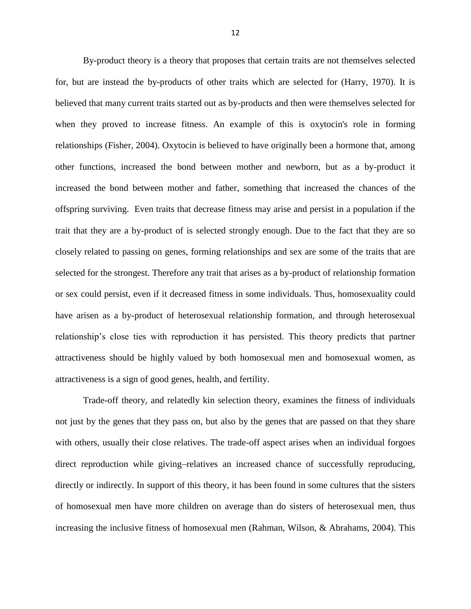By-product theory is a theory that proposes that certain traits are not themselves selected for, but are instead the by-products of other traits which are selected for (Harry, 1970). It is believed that many current traits started out as by-products and then were themselves selected for when they proved to increase fitness. An example of this is oxytocin's role in forming relationships (Fisher, 2004). Oxytocin is believed to have originally been a hormone that, among other functions, increased the bond between mother and newborn, but as a by-product it increased the bond between mother and father, something that increased the chances of the offspring surviving. Even traits that decrease fitness may arise and persist in a population if the trait that they are a by-product of is selected strongly enough. Due to the fact that they are so closely related to passing on genes, forming relationships and sex are some of the traits that are selected for the strongest. Therefore any trait that arises as a by-product of relationship formation or sex could persist, even if it decreased fitness in some individuals. Thus, homosexuality could have arisen as a by-product of heterosexual relationship formation, and through heterosexual relationship's close ties with reproduction it has persisted. This theory predicts that partner attractiveness should be highly valued by both homosexual men and homosexual women, as attractiveness is a sign of good genes, health, and fertility.

Trade-off theory, and relatedly kin selection theory, examines the fitness of individuals not just by the genes that they pass on, but also by the genes that are passed on that they share with others, usually their close relatives. The trade-off aspect arises when an individual forgoes direct reproduction while giving-relatives an increased chance of successfully reproducing, directly or indirectly. In support of this theory, it has been found in some cultures that the sisters of homosexual men have more children on average than do sisters of heterosexual men, thus increasing the inclusive fitness of homosexual men (Rahman, Wilson, & Abrahams, 2004). This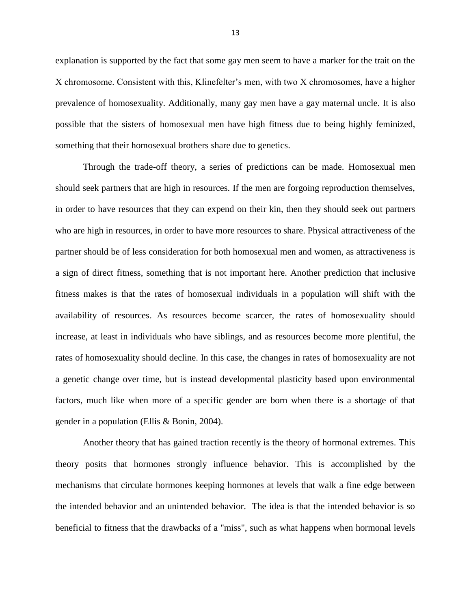explanation is supported by the fact that some gay men seem to have a marker for the trait on the X chromosome. Consistent with this, Klinefelter's men, with two X chromosomes, have a higher prevalence of homosexuality. Additionally, many gay men have a gay maternal uncle. It is also possible that the sisters of homosexual men have high fitness due to being highly feminized, something that their homosexual brothers share due to genetics.

Through the trade-off theory, a series of predictions can be made. Homosexual men should seek partners that are high in resources. If the men are forgoing reproduction themselves, in order to have resources that they can expend on their kin, then they should seek out partners who are high in resources, in order to have more resources to share. Physical attractiveness of the partner should be of less consideration for both homosexual men and women, as attractiveness is a sign of direct fitness, something that is not important here. Another prediction that inclusive fitness makes is that the rates of homosexual individuals in a population will shift with the availability of resources. As resources become scarcer, the rates of homosexuality should increase, at least in individuals who have siblings, and as resources become more plentiful, the rates of homosexuality should decline. In this case, the changes in rates of homosexuality are not a genetic change over time, but is instead developmental plasticity based upon environmental factors, much like when more of a specific gender are born when there is a shortage of that gender in a population (Ellis & Bonin, 2004).

Another theory that has gained traction recently is the theory of hormonal extremes. This theory posits that hormones strongly influence behavior. This is accomplished by the mechanisms that circulate hormones keeping hormones at levels that walk a fine edge between the intended behavior and an unintended behavior. The idea is that the intended behavior is so beneficial to fitness that the drawbacks of a "miss", such as what happens when hormonal levels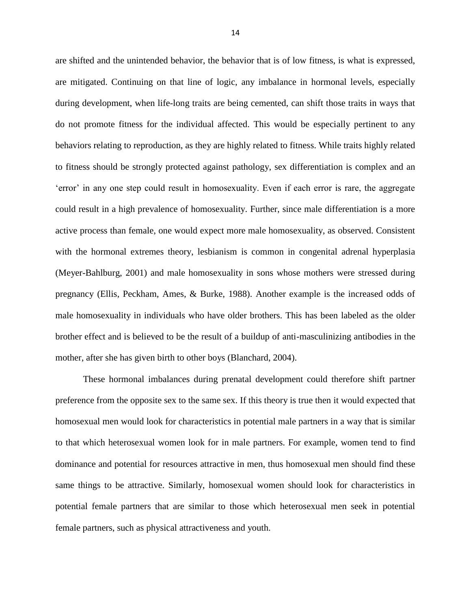are shifted and the unintended behavior, the behavior that is of low fitness, is what is expressed, are mitigated. Continuing on that line of logic, any imbalance in hormonal levels, especially during development, when life-long traits are being cemented, can shift those traits in ways that do not promote fitness for the individual affected. This would be especially pertinent to any behaviors relating to reproduction, as they are highly related to fitness. While traits highly related to fitness should be strongly protected against pathology, sex differentiation is complex and an 'error' in any one step could result in homosexuality. Even if each error is rare, the aggregate could result in a high prevalence of homosexuality. Further, since male differentiation is a more active process than female, one would expect more male homosexuality, as observed. Consistent with the hormonal extremes theory, lesbianism is common in congenital adrenal hyperplasia (Meyer-Bahlburg, 2001) and male homosexuality in sons whose mothers were stressed during pregnancy (Ellis, Peckham, Ames, & Burke, 1988). Another example is the increased odds of male homosexuality in individuals who have older brothers. This has been labeled as the older brother effect and is believed to be the result of a buildup of anti-masculinizing antibodies in the mother, after she has given birth to other boys (Blanchard, 2004).

These hormonal imbalances during prenatal development could therefore shift partner preference from the opposite sex to the same sex. If this theory is true then it would expected that homosexual men would look for characteristics in potential male partners in a way that is similar to that which heterosexual women look for in male partners. For example, women tend to find dominance and potential for resources attractive in men, thus homosexual men should find these same things to be attractive. Similarly, homosexual women should look for characteristics in potential female partners that are similar to those which heterosexual men seek in potential female partners, such as physical attractiveness and youth.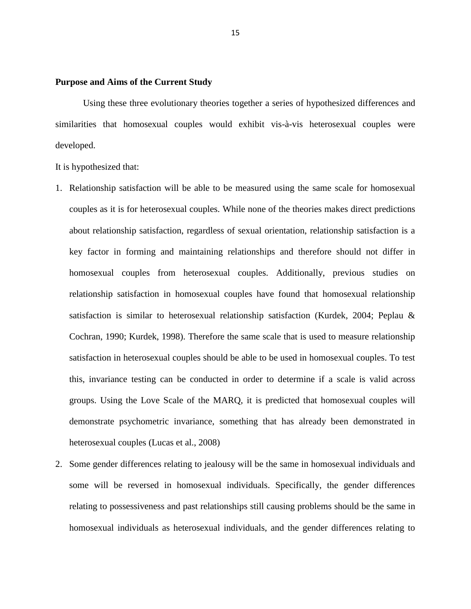# **Purpose and Aims of the Current Study**

Using these three evolutionary theories together a series of hypothesized differences and similarities that homosexual couples would exhibit vis-à-vis heterosexual couples were developed.

It is hypothesized that:

- 1. Relationship satisfaction will be able to be measured using the same scale for homosexual couples as it is for heterosexual couples. While none of the theories makes direct predictions about relationship satisfaction, regardless of sexual orientation, relationship satisfaction is a key factor in forming and maintaining relationships and therefore should not differ in homosexual couples from heterosexual couples. Additionally, previous studies on relationship satisfaction in homosexual couples have found that homosexual relationship satisfaction is similar to heterosexual relationship satisfaction (Kurdek, 2004; Peplau & Cochran, 1990; Kurdek, 1998). Therefore the same scale that is used to measure relationship satisfaction in heterosexual couples should be able to be used in homosexual couples. To test this, invariance testing can be conducted in order to determine if a scale is valid across groups. Using the Love Scale of the MARQ, it is predicted that homosexual couples will demonstrate psychometric invariance, something that has already been demonstrated in heterosexual couples (Lucas et al., 2008)
- 2. Some gender differences relating to jealousy will be the same in homosexual individuals and some will be reversed in homosexual individuals. Specifically, the gender differences relating to possessiveness and past relationships still causing problems should be the same in homosexual individuals as heterosexual individuals, and the gender differences relating to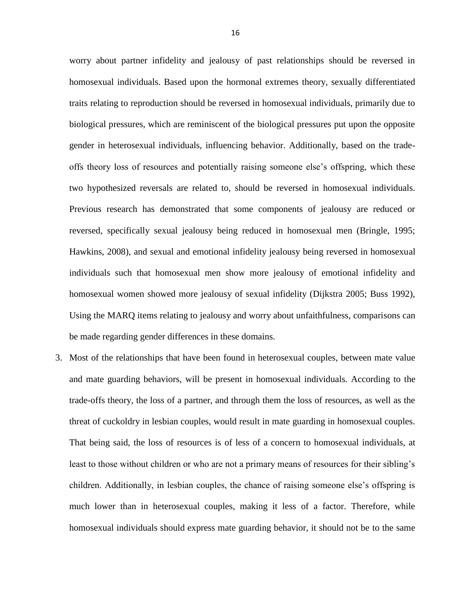worry about partner infidelity and jealousy of past relationships should be reversed in homosexual individuals. Based upon the hormonal extremes theory, sexually differentiated traits relating to reproduction should be reversed in homosexual individuals, primarily due to biological pressures, which are reminiscent of the biological pressures put upon the opposite gender in heterosexual individuals, influencing behavior. Additionally, based on the trade offs theory loss of resources and potentially raising someone else's offspring, which these two hypothesized reversals are related to, should be reversed in homosexual individuals. Previous research has demonstrated that some components of jealousy are reduced or reversed, specifically sexual jealousy being reduced in homosexual men (Bringle, 1995; Hawkins, 2008), and sexual and emotional infidelity jealousy being reversed in homosexual individuals such that homosexual men show more jealousy of emotional infidelity and homosexual women showed more jealousy of sexual infidelity (Dijkstra 2005; Buss 1992), Using the MARQ items relating to jealousy and worry about unfaithfulness, comparisons can be made regarding gender differences in these domains.

3. Most of the relationships that have been found in heterosexual couples, between mate value and mate guarding behaviors, will be present in homosexual individuals. According to the trade-offs theory, the loss of a partner, and through them the loss of resources, as well as the threat of cuckoldry in lesbian couples, would result in mate guarding in homosexual couples. That being said, the loss of resources is of less of a concern to homosexual individuals, at least to those without children or who are not a primary means of resources for their sibling's children. Additionally, in lesbian couples, the chance of raising someone else's offspring is much lower than in heterosexual couples, making it less of a factor. Therefore, while homosexual individuals should express mate guarding behavior, it should not be to the same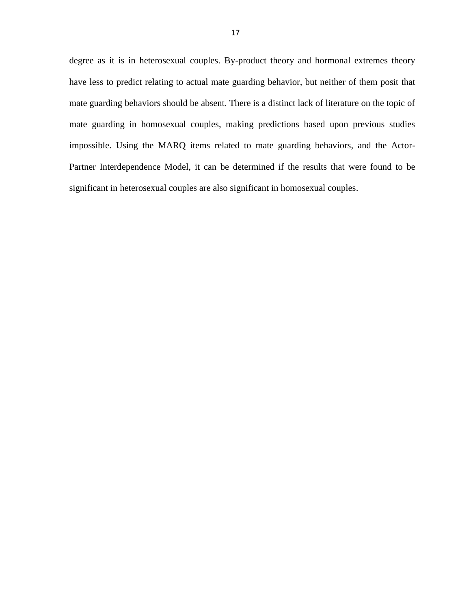degree as it is in heterosexual couples. By-product theory and hormonal extremes theory have less to predict relating to actual mate guarding behavior, but neither of them posit that mate guarding behaviors should be absent. There is a distinct lack of literature on the topic of mate guarding in homosexual couples, making predictions based upon previous studies impossible. Using the MARQ items related to mate guarding behaviors, and the Actor-Partner Interdependence Model, it can be determined if the results that were found to be significant in heterosexual couples are also significant in homosexual couples.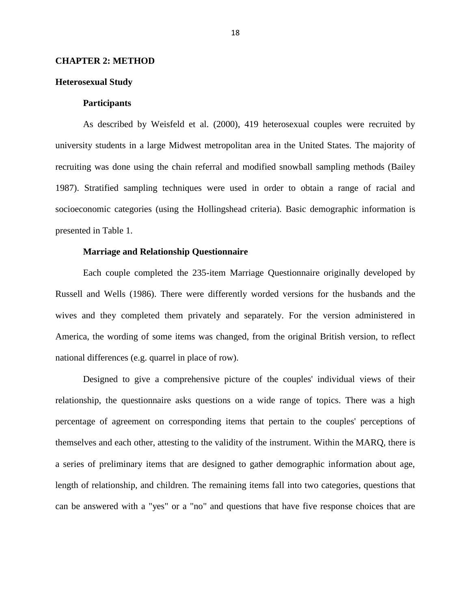# **CHAPTER 2: METHOD**

# **Heterosexual Study**

# **Participants**

As described by Weisfeld et al. (2000), 419 heterosexual couples were recruited by university students in a large Midwest metropolitan area in the United States. The majority of recruiting was done using the chain referral and modified snowball sampling methods (Bailey 1987). Stratified sampling techniques were used in order to obtain a range of racial and socioeconomic categories (using the Hollingshead criteria). Basic demographic information is presented in Table 1.

# **Marriage and Relationship Questionnaire**

Each couple completed the 235-item Marriage Questionnaire originally developed by Russell and Wells (1986). There were differently worded versions for the husbands and the wives and they completed them privately and separately. For the version administered in America, the wording of some items was changed, from the original British version, to reflect national differences (e.g. quarrel in place of row).

Designed to give a comprehensive picture of the couples' individual views of their relationship, the questionnaire asks questions on a wide range of topics. There was a high percentage of agreement on corresponding items that pertain to the couples' perceptions of themselves and each other, attesting to the validity of the instrument. Within the MARQ, there is a series of preliminary items that are designed to gather demographic information about age, length of relationship, and children. The remaining items fall into two categories, questions that can be answered with a "yes" or a "no" and questions that have five response choices that are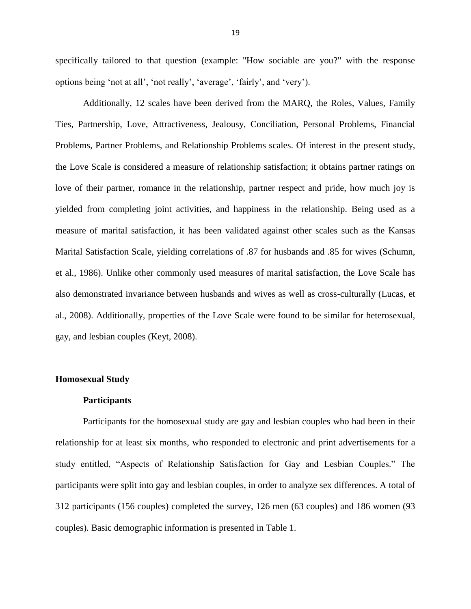specifically tailored to that question (example: "How sociable are you?" with the response options being 'not at all', 'not really', 'average', 'fairly', and 'very').

Additionally, 12 scales have been derived from the MARQ, the Roles, Values, Family Ties, Partnership, Love, Attractiveness, Jealousy, Conciliation, Personal Problems, Financial Problems, Partner Problems, and Relationship Problems scales. Of interest in the present study, the Love Scale is considered a measure of relationship satisfaction; it obtains partner ratings on love of their partner, romance in the relationship, partner respect and pride, how much joy is yielded from completing joint activities, and happiness in the relationship. Being used as a measure of marital satisfaction, it has been validated against other scales such as the Kansas Marital Satisfaction Scale, yielding correlations of .87 for husbands and .85 for wives (Schumn, et al., 1986). Unlike other commonly used measures of marital satisfaction, the Love Scale has also demonstrated invariance between husbands and wives as well as cross-culturally (Lucas, et al., 2008). Additionally, properties of the Love Scale were found to be similar for heterosexual, gay, and lesbian couples (Keyt, 2008).

# **Homosexual Study**

#### **Participants**

Participants for the homosexual study are gay and lesbian couples who had been in their relationship for at least six months, who responded to electronic and print advertisements for a study entitled, "Aspects of Relationship Satisfaction for Gay and Lesbian Couples." The participants were split into gay and lesbian couples, in order to analyze sex differences. A total of 312 participants (156 couples) completed the survey, 126 men (63 couples) and 186 women (93 couples). Basic demographic information is presented in Table 1.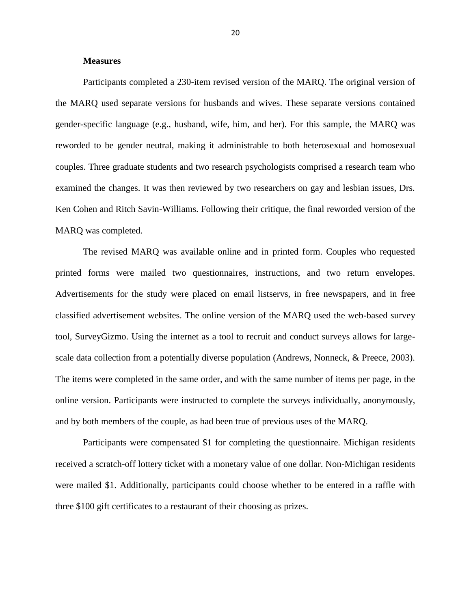# **Measures**

Participants completed a 230-item revised version of the MARQ. The original version of the MARQ used separate versions for husbands and wives. These separate versions contained gender-specific language (e.g., husband, wife, him, and her). For this sample, the MARQ was reworded to be gender neutral, making it administrable to both heterosexual and homosexual couples. Three graduate students and two research psychologists comprised a research team who examined the changes. It was then reviewed by two researchers on gay and lesbian issues, Drs. Ken Cohen and Ritch Savin-Williams. Following their critique, the final reworded version of the MARQ was completed.

The revised MARQ was available online and in printed form. Couples who requested printed forms were mailed two questionnaires, instructions, and two return envelopes. Advertisements for the study were placed on email listservs, in free newspapers, and in free classified advertisement websites. The online version of the MARQ used the web-based survey tool, SurveyGizmo. Using the internet as a tool to recruit and conduct surveys allows for largescale data collection from a potentially diverse population (Andrews, Nonneck, & Preece, 2003). The items were completed in the same order, and with the same number of items per page, in the online version. Participants were instructed to complete the surveys individually, anonymously, and by both members of the couple, as had been true of previous uses of the MARQ.

Participants were compensated \$1 for completing the questionnaire. Michigan residents received a scratch-off lottery ticket with a monetary value of one dollar. Non-Michigan residents were mailed \$1. Additionally, participants could choose whether to be entered in a raffle with three \$100 gift certificates to a restaurant of their choosing as prizes.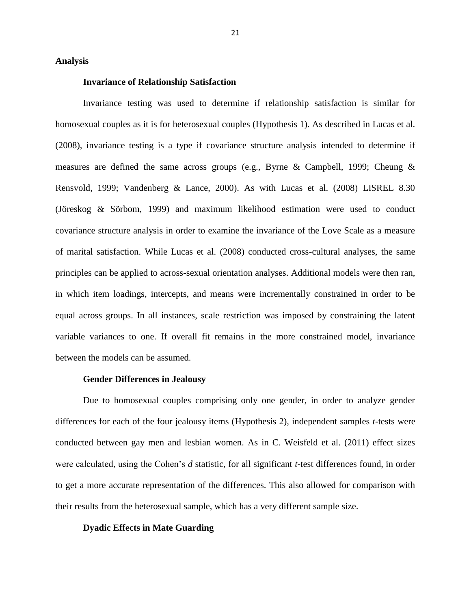#### **Analysis**

# **Invariance of Relationship Satisfaction**

Invariance testing was used to determine if relationship satisfaction is similar for homosexual couples as it is for heterosexual couples (Hypothesis 1). As described in Lucas et al. (2008), invariance testing is a type if covariance structure analysis intended to determine if measures are defined the same across groups (e.g., Byrne & Campbell, 1999; Cheung & Rensvold, 1999; Vandenberg & Lance, 2000). As with Lucas et al. (2008) LISREL 8.30 (Jöreskog & Sörbom, 1999) and maximum likelihood estimation were used to conduct covariance structure analysis in order to examine the invariance of the Love Scale as a measure of marital satisfaction. While Lucas et al. (2008) conducted cross-cultural analyses, the same principles can be applied to across-sexual orientation analyses. Additional models were then ran, in which item loadings, intercepts, and means were incrementally constrained in order to be equal across groups. In all instances, scale restriction was imposed by constraining the latent variable variances to one. If overall fit remains in the more constrained model, invariance between the models can be assumed.

#### **Gender Differences in Jealousy**

Due to homosexual couples comprising only one gender, in order to analyze gender differences for each of the four jealousy items (Hypothesis 2), independent samples *t*-tests were conducted between gay men and lesbian women. As in C. Weisfeld et al. (2011) effect sizes were calculated, using the Cohen's d statistic, for all significant *t*-test differences found, in order to get a more accurate representation of the differences. This also allowed for comparison with their results from the heterosexual sample, which has a very different sample size.

#### **Dyadic Effects in Mate Guarding**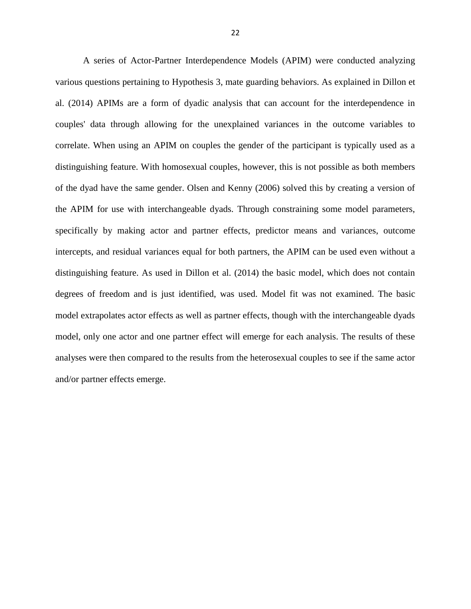A series of Actor-Partner Interdependence Models (APIM) were conducted analyzing various questions pertaining to Hypothesis 3, mate guarding behaviors. As explained in Dillon et al. (2014) APIMs are a form of dyadic analysis that can account for the interdependence in couples' data through allowing for the unexplained variances in the outcome variables to correlate. When using an APIM on couples the gender of the participant is typically used as a distinguishing feature. With homosexual couples, however, this is not possible as both members of the dyad have the same gender. Olsen and Kenny (2006) solved this by creating a version of the APIM for use with interchangeable dyads. Through constraining some model parameters, specifically by making actor and partner effects, predictor means and variances, outcome intercepts, and residual variances equal for both partners, the APIM can be used even without a distinguishing feature. As used in Dillon et al. (2014) the basic model, which does not contain degrees of freedom and is just identified, was used. Model fit was not examined. The basic model extrapolates actor effects as well as partner effects, though with the interchangeable dyads model, only one actor and one partner effect will emerge for each analysis. The results of these analyses were then compared to the results from the heterosexual couples to see if the same actor and/or partner effects emerge.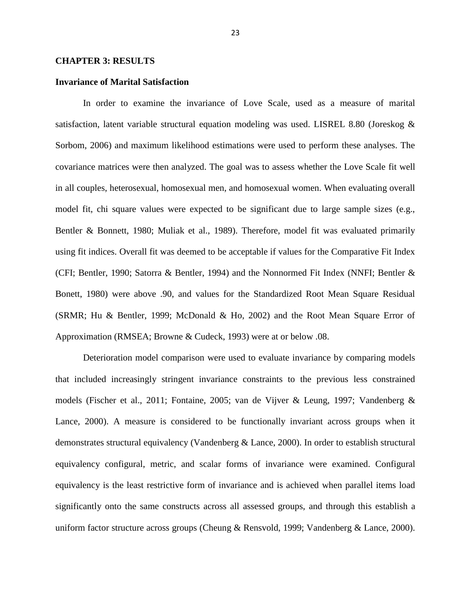# **CHAPTER 3: RESULTS**

# **Invariance of Marital Satisfaction**

In order to examine the invariance of Love Scale, used as a measure of marital satisfaction, latent variable structural equation modeling was used. LISREL 8.80 (Joreskog & Sorbom, 2006) and maximum likelihood estimations were used to perform these analyses. The covariance matrices were then analyzed. The goal was to assess whether the Love Scale fit well in all couples, heterosexual, homosexual men, and homosexual women. When evaluating overall model fit, chi square values were expected to be significant due to large sample sizes (e.g., Bentler & Bonnett, 1980; Muliak et al., 1989). Therefore, model fit was evaluated primarily using fit indices. Overall fit was deemed to be acceptable if values for the Comparative Fit Index (CFI; Bentler, 1990; Satorra & Bentler, 1994) and the Nonnormed Fit Index (NNFI; Bentler & Bonett, 1980) were above .90, and values for the Standardized Root Mean Square Residual (SRMR; Hu & Bentler, 1999; McDonald & Ho, 2002) and the Root Mean Square Error of Approximation (RMSEA; Browne & Cudeck, 1993) were at or below .08.

Deterioration model comparison were used to evaluate invariance by comparing models that included increasingly stringent invariance constraints to the previous less constrained models (Fischer et al., 2011; Fontaine, 2005; van de Vijver & Leung, 1997; Vandenberg & Lance, 2000). A measure is considered to be functionally invariant across groups when it demonstrates structural equivalency (Vandenberg & Lance, 2000). In order to establish structural equivalency configural, metric, and scalar forms of invariance were examined. Configural equivalency is the least restrictive form of invariance and is achieved when parallel items load significantly onto the same constructs across all assessed groups, and through this establish a uniform factor structure across groups (Cheung & Rensvold, 1999; Vandenberg & Lance, 2000).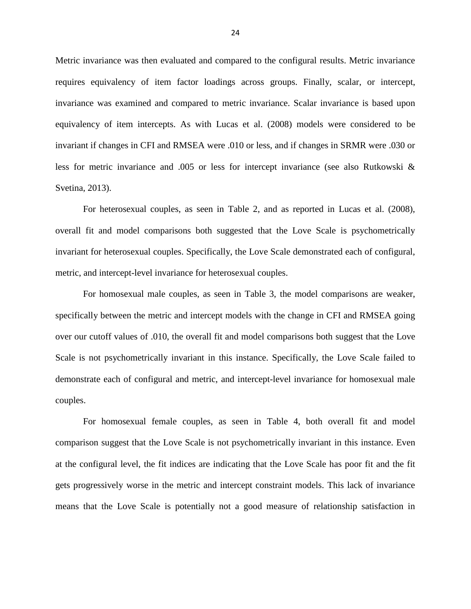Metric invariance was then evaluated and compared to the configural results. Metric invariance requires equivalency of item factor loadings across groups. Finally, scalar, or intercept, invariance was examined and compared to metric invariance. Scalar invariance is based upon equivalency of item intercepts. As with Lucas et al. (2008) models were considered to be invariant if changes in CFI and RMSEA were .010 or less, and if changes in SRMR were .030 or less for metric invariance and .005 or less for intercept invariance (see also Rutkowski & Svetina, 2013).

For heterosexual couples, as seen in Table 2, and as reported in Lucas et al. (2008), overall fit and model comparisons both suggested that the Love Scale is psychometrically invariant for heterosexual couples. Specifically, the Love Scale demonstrated each of configural, metric, and intercept-level invariance for heterosexual couples.

For homosexual male couples, as seen in Table 3, the model comparisons are weaker, specifically between the metric and intercept models with the change in CFI and RMSEA going over our cutoff values of .010, the overall fit and model comparisons both suggest that the Love Scale is not psychometrically invariant in this instance. Specifically, the Love Scale failed to demonstrate each of configural and metric, and intercept-level invariance for homosexual male couples.

For homosexual female couples, as seen in Table 4, both overall fit and model comparison suggest that the Love Scale is not psychometrically invariant in this instance. Even at the configural level, the fit indices are indicating that the Love Scale has poor fit and the fit gets progressively worse in the metric and intercept constraint models. This lack of invariance means that the Love Scale is potentially not a good measure of relationship satisfaction in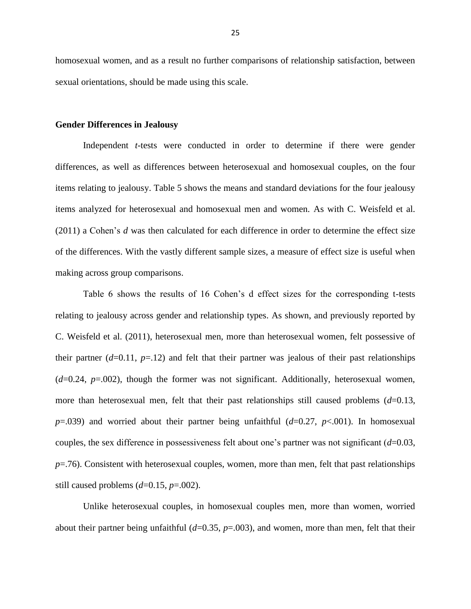homosexual women, and as a result no further comparisons of relationship satisfaction, between sexual orientations, should be made using this scale.

### **Gender Differences in Jealousy**

Independent *t*-tests were conducted in order to determine if there were gender differences, as well as differences between heterosexual and homosexual couples, on the four items relating to jealousy. Table 5 shows the means and standard deviations for the four jealousy items analyzed for heterosexual and homosexual men and women. As with C. Weisfeld et al.  $(2011)$  a Cohen's d was then calculated for each difference in order to determine the effect size of the differences. With the vastly different sample sizes, a measure of effect size is useful when making across group comparisons.

Table 6 shows the results of 16 Cohen's d effect sizes for the corresponding t-tests relating to jealousy across gender and relationship types. As shown, and previously reported by C. Weisfeld et al. (2011), heterosexual men, more than heterosexual women, felt possessive of their partner  $(d=0.11, p=.12)$  and felt that their partner was jealous of their past relationships (*d*=0.24, *p*=.002), though the former was not significant. Additionally, heterosexual women, more than heterosexual men, felt that their past relationships still caused problems (*d*=0.13, *p*=.039) and worried about their partner being unfaithful (*d*=0.27, *p*<.001). In homosexual couples, the sex difference in possessiveness felt about one's partner was not significant  $(d=0.03,$ *p*=.76). Consistent with heterosexual couples, women, more than men, felt that past relationships still caused problems (*d*=0.15, *p*=.002).

Unlike heterosexual couples, in homosexual couples men, more than women, worried about their partner being unfaithful (*d*=0.35, *p*=.003), and women, more than men, felt that their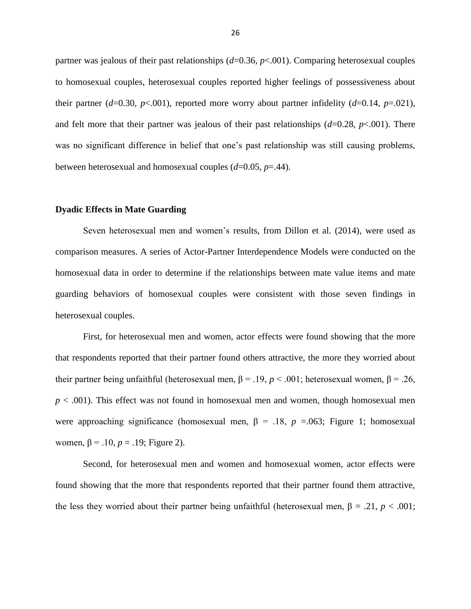partner was jealous of their past relationships (*d*=0.36, *p*<.001). Comparing heterosexual couples to homosexual couples, heterosexual couples reported higher feelings of possessiveness about their partner ( $d=0.30$ ,  $p<0.01$ ), reported more worry about partner infidelity ( $d=0.14$ ,  $p=.021$ ), and felt more that their partner was jealous of their past relationships  $(d=0.28, p<.001)$ . There was no significant difference in belief that one's past relationship was still causing problems, between heterosexual and homosexual couples (*d*=0.05, *p*=.44).

#### **Dyadic Effects in Mate Guarding**

Seven heterosexual men and women's results, from Dillon et al. (2014), were used as comparison measures. A series of Actor-Partner Interdependence Models were conducted on the homosexual data in order to determine if the relationships between mate value items and mate guarding behaviors of homosexual couples were consistent with those seven findings in heterosexual couples.

First, for heterosexual men and women, actor effects were found showing that the more that respondents reported that their partner found others attractive, the more they worried about their partner being unfaithful (heterosexual men,  $\beta = .19$ ,  $p < .001$ ; heterosexual women,  $\beta = .26$ , *p* < .001). This effect was not found in homosexual men and women, though homosexual men were approaching significance (homosexual men,  $\beta$  = .18,  $p$  =.063; Figure 1; homosexual women,  $β = .10, p = .19$ ; Figure 2).

Second, for heterosexual men and women and homosexual women, actor effects were found showing that the more that respondents reported that their partner found them attractive, the less they worried about their partner being unfaithful (heterosexual men,  $\beta = .21$ ,  $p < .001$ ;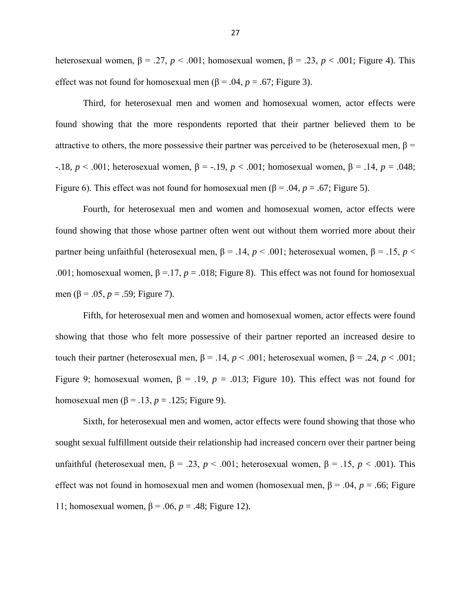heterosexual women,  $\beta = .27$ ,  $p < .001$ ; homosexual women,  $\beta = .23$ ,  $p < .001$ ; Figure 4). This effect was not found for homosexual men  $(\beta = .04, p = .67;$  Figure 3).

Third, for heterosexual men and women and homosexual women, actor effects were found showing that the more respondents reported that their partner believed them to be attractive to others, the more possessive their partner was perceived to be (heterosexual men,  $\beta$  = -.18, *p* < .001; heterosexual women, β = -.19, *p* < .001; homosexual women, β = .14, *p* = .048; Figure 6). This effect was not found for homosexual men  $(\beta = .04, p = .67;$  Figure 5).

Fourth, for heterosexual men and women and homosexual women, actor effects were found showing that those whose partner often went out without them worried more about their partner being unfaithful (heterosexual men,  $\beta$  = .14,  $p$  < .001; heterosexual women,  $\beta$  = .15,  $p$  < .001; homosexual women,  $\beta = 17$ ,  $p = .018$ ; Figure 8). This effect was not found for homosexual men ( $\beta$  = .05,  $p = .59$ ; Figure 7).

Fifth, for heterosexual men and women and homosexual women, actor effects were found showing that those who felt more possessive of their partner reported an increased desire to touch their partner (heterosexual men,  $\beta = .14$ ,  $p < .001$ ; heterosexual women,  $\beta = .24$ ,  $p < .001$ ; Figure 9; homosexual women,  $\beta = .19$ ,  $p = .013$ ; Figure 10). This effect was not found for homosexual men  $(\beta = .13, p = .125;$  Figure 9).

Sixth, for heterosexual men and women, actor effects were found showing that those who sought sexual fulfillment outside their relationship had increased concern over their partner being unfaithful (heterosexual men,  $β = .23$ ,  $p < .001$ ; heterosexual women,  $β = .15$ ,  $p < .001$ ). This effect was not found in homosexual men and women (homosexual men,  $\beta$  = .04,  $p$  = .66; Figure 11; homosexual women,  $\beta$  = .06,  $p$  = .48; Figure 12).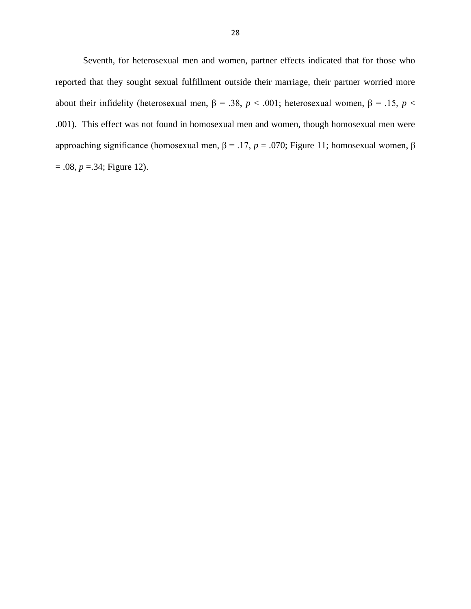Seventh, for heterosexual men and women, partner effects indicated that for those who reported that they sought sexual fulfillment outside their marriage, their partner worried more about their infidelity (heterosexual men,  $\beta$  = .38,  $p$  < .001; heterosexual women,  $\beta$  = .15,  $p$  < .001). This effect was not found in homosexual men and women, though homosexual men were approaching significance (homosexual men,  $β = .17$ ,  $p = .070$ ; Figure 11; homosexual women,  $β$  $= .08, p = .34$ ; Figure 12).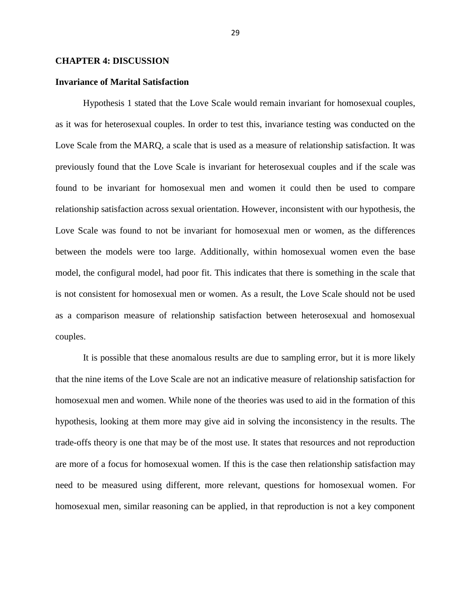# **CHAPTER 4: DISCUSSION**

# **Invariance of Marital Satisfaction**

Hypothesis 1 stated that the Love Scale would remain invariant for homosexual couples, as it was for heterosexual couples. In order to test this, invariance testing was conducted on the Love Scale from the MARQ, a scale that is used as a measure of relationship satisfaction. It was previously found that the Love Scale is invariant for heterosexual couples and if the scale was found to be invariant for homosexual men and women it could then be used to compare relationship satisfaction across sexual orientation. However, inconsistent with our hypothesis, the Love Scale was found to not be invariant for homosexual men or women, as the differences between the models were too large. Additionally, within homosexual women even the base model, the configural model, had poor fit. This indicates that there is something in the scale that is not consistent for homosexual men or women. As a result, the Love Scale should not be used as a comparison measure of relationship satisfaction between heterosexual and homosexual couples.

It is possible that these anomalous results are due to sampling error, but it is more likely that the nine items of the Love Scale are not an indicative measure of relationship satisfaction for homosexual men and women. While none of the theories was used to aid in the formation of this hypothesis, looking at them more may give aid in solving the inconsistency in the results. The trade-offs theory is one that may be of the most use. It states that resources and not reproduction are more of a focus for homosexual women. If this is the case then relationship satisfaction may need to be measured using different, more relevant, questions for homosexual women. For homosexual men, similar reasoning can be applied, in that reproduction is not a key component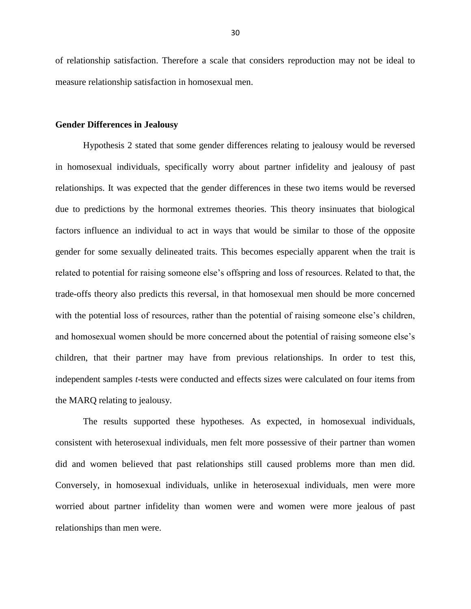of relationship satisfaction. Therefore a scale that considers reproduction may not be ideal to measure relationship satisfaction in homosexual men.

# **Gender Differences in Jealousy**

Hypothesis 2 stated that some gender differences relating to jealousy would be reversed in homosexual individuals, specifically worry about partner infidelity and jealousy of past relationships. It was expected that the gender differences in these two items would be reversed due to predictions by the hormonal extremes theories. This theory insinuates that biological factors influence an individual to act in ways that would be similar to those of the opposite gender for some sexually delineated traits. This becomes especially apparent when the trait is related to potential for raising someone else's offspring and loss of resources. Related to that, the trade-offs theory also predicts this reversal, in that homosexual men should be more concerned with the potential loss of resources, rather than the potential of raising someone else's children, and homosexual women should be more concerned about the potential of raising someone else's children, that their partner may have from previous relationships. In order to test this, independent samples *t*-tests were conducted and effects sizes were calculated on four items from the MARQ relating to jealousy.

The results supported these hypotheses. As expected, in homosexual individuals, consistent with heterosexual individuals, men felt more possessive of their partner than women did and women believed that past relationships still caused problems more than men did. Conversely, in homosexual individuals, unlike in heterosexual individuals, men were more worried about partner infidelity than women were and women were more jealous of past relationships than men were.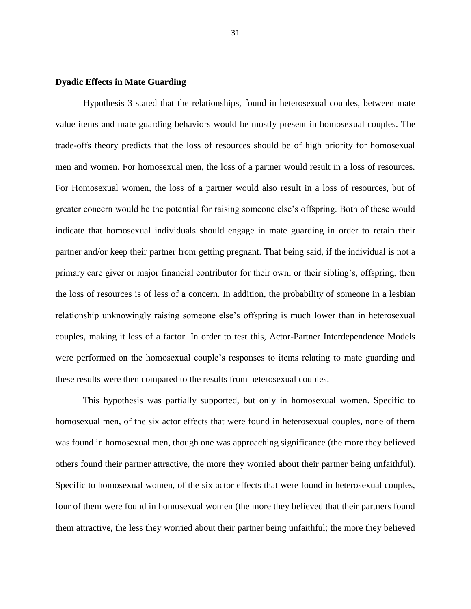# **Dyadic Effects in Mate Guarding**

Hypothesis 3 stated that the relationships, found in heterosexual couples, between mate value items and mate guarding behaviors would be mostly present in homosexual couples. The trade-offs theory predicts that the loss of resources should be of high priority for homosexual men and women. For homosexual men, the loss of a partner would result in a loss of resources. For Homosexual women, the loss of a partner would also result in a loss of resources, but of greater concern would be the potential for raising someone else's offspring. Both of these would indicate that homosexual individuals should engage in mate guarding in order to retain their partner and/or keep their partner from getting pregnant. That being said, if the individual is not a primary care giver or major financial contributor for their own, or their sibling's, offspring, then the loss of resources is of less of a concern. In addition, the probability of someone in a lesbian relationship unknowingly raising someone else's offspring is much lower than in heterosexual couples, making it less of a factor. In order to test this, Actor-Partner Interdependence Models were performed on the homosexual couple's responses to items relating to mate guarding and these results were then compared to the results from heterosexual couples.

This hypothesis was partially supported, but only in homosexual women. Specific to homosexual men, of the six actor effects that were found in heterosexual couples, none of them was found in homosexual men, though one was approaching significance (the more they believed others found their partner attractive, the more they worried about their partner being unfaithful). Specific to homosexual women, of the six actor effects that were found in heterosexual couples, four of them were found in homosexual women (the more they believed that their partners found them attractive, the less they worried about their partner being unfaithful; the more they believed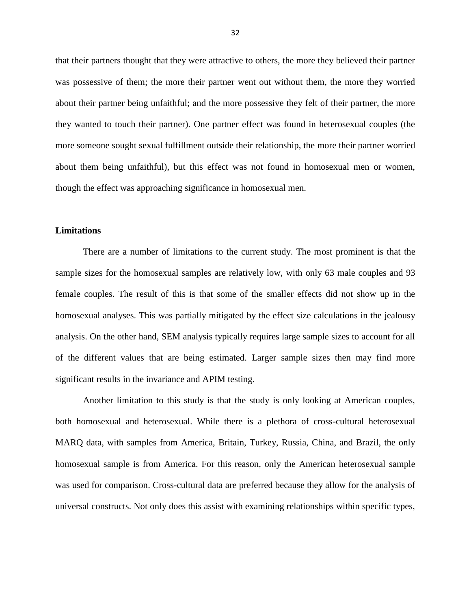that their partners thought that they were attractive to others, the more they believed their partner was possessive of them; the more their partner went out without them, the more they worried about their partner being unfaithful; and the more possessive they felt of their partner, the more they wanted to touch their partner). One partner effect was found in heterosexual couples (the more someone sought sexual fulfillment outside their relationship, the more their partner worried about them being unfaithful), but this effect was not found in homosexual men or women, though the effect was approaching significance in homosexual men.

# **Limitations**

There are a number of limitations to the current study. The most prominent is that the sample sizes for the homosexual samples are relatively low, with only 63 male couples and 93 female couples. The result of this is that some of the smaller effects did not show up in the homosexual analyses. This was partially mitigated by the effect size calculations in the jealousy analysis. On the other hand, SEM analysis typically requires large sample sizes to account for all of the different values that are being estimated. Larger sample sizes then may find more significant results in the invariance and APIM testing.

Another limitation to this study is that the study is only looking at American couples, both homosexual and heterosexual. While there is a plethora of cross-cultural heterosexual MARQ data, with samples from America, Britain, Turkey, Russia, China, and Brazil, the only homosexual sample is from America. For this reason, only the American heterosexual sample was used for comparison. Cross-cultural data are preferred because they allow for the analysis of universal constructs. Not only does this assist with examining relationships within specific types,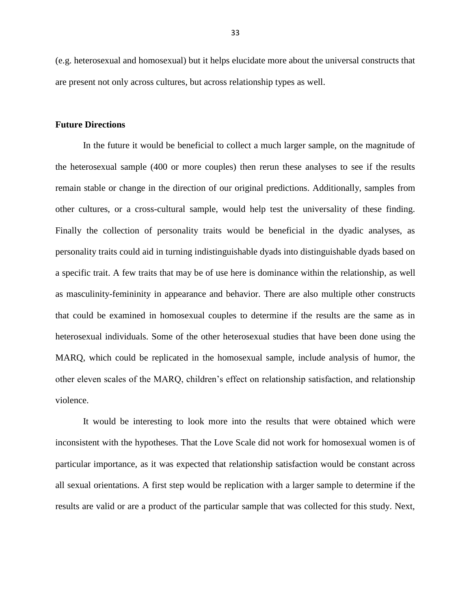(e.g. heterosexual and homosexual) but it helps elucidate more about the universal constructs that are present not only across cultures, but across relationship types as well.

# **Future Directions**

In the future it would be beneficial to collect a much larger sample, on the magnitude of the heterosexual sample (400 or more couples) then rerun these analyses to see if the results remain stable or change in the direction of our original predictions. Additionally, samples from other cultures, or a cross-cultural sample, would help test the universality of these finding. Finally the collection of personality traits would be beneficial in the dyadic analyses, as personality traits could aid in turning indistinguishable dyads into distinguishable dyads based on a specific trait. A few traits that may be of use here is dominance within the relationship, as well as masculinity-femininity in appearance and behavior. There are also multiple other constructs that could be examined in homosexual couples to determine if the results are the same as in heterosexual individuals. Some of the other heterosexual studies that have been done using the MARQ, which could be replicated in the homosexual sample, include analysis of humor, the other eleven scales of the MARQ, children's effect on relationship satisfaction, and relationship violence.

It would be interesting to look more into the results that were obtained which were inconsistent with the hypotheses. That the Love Scale did not work for homosexual women is of particular importance, as it was expected that relationship satisfaction would be constant across all sexual orientations. A first step would be replication with a larger sample to determine if the results are valid or are a product of the particular sample that was collected for this study. Next,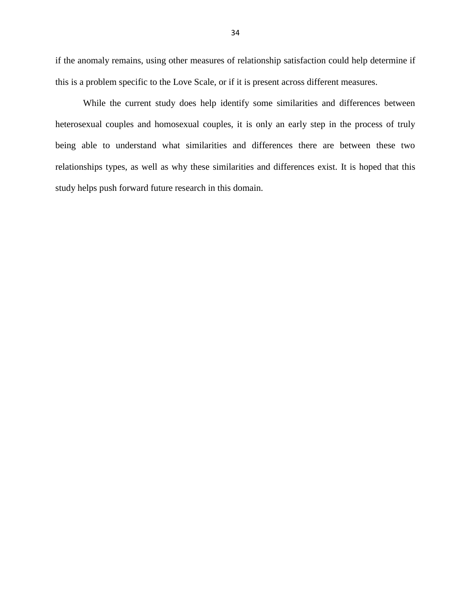if the anomaly remains, using other measures of relationship satisfaction could help determine if this is a problem specific to the Love Scale, or if it is present across different measures.

While the current study does help identify some similarities and differences between heterosexual couples and homosexual couples, it is only an early step in the process of truly being able to understand what similarities and differences there are between these two relationships types, as well as why these similarities and differences exist. It is hoped that this study helps push forward future research in this domain.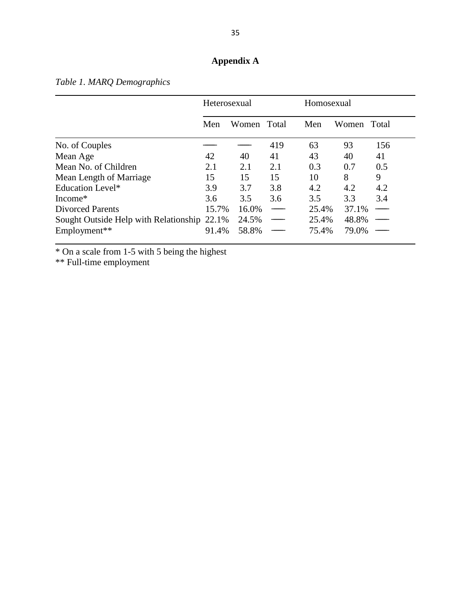# **Appendix A**

|                                             | Heterosexual |             |     | Homosexual |       |       |
|---------------------------------------------|--------------|-------------|-----|------------|-------|-------|
|                                             | Men          | Women Total |     | Men        | Women | Total |
| No. of Couples                              |              |             | 419 | 63         | 93    | 156   |
| Mean Age                                    | 42           | 40          | 41  | 43         | 40    | 41    |
| Mean No. of Children                        | 2.1          | 2.1         | 2.1 | 0.3        | 0.7   | 0.5   |
| Mean Length of Marriage                     | 15           | 15          | 15  | 10         | 8     | 9     |
| <b>Education Level*</b>                     | 3.9          | 3.7         | 3.8 | 4.2        | 4.2   | 4.2   |
| Income*                                     | 3.6          | 3.5         | 3.6 | 3.5        | 3.3   | 3.4   |
| <b>Divorced Parents</b>                     | 15.7%        | 16.0%       |     | 25.4%      | 37.1% |       |
| Sought Outside Help with Relationship 22.1% |              | 24.5%       |     | 25.4%      | 48.8% | ---   |
| Employment**                                | 91.4%        | 58.8%       |     | 75.4%      | 79.0% |       |

*Table 1. MARQ Demographics*

\* On a scale from 1-5 with 5 being the highest

\*\* Full-time employment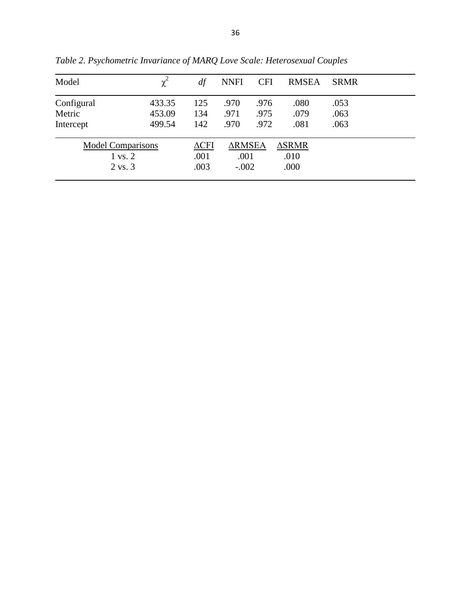| Model                                          | $\chi^2$ | df                   | <b>NNFI</b>           | <b>CFI</b> | <b>RMSEA</b>             | <b>SRMR</b> |
|------------------------------------------------|----------|----------------------|-----------------------|------------|--------------------------|-------------|
| Configural                                     | 433.35   | 125                  | .970                  | .976       | .080                     | .053        |
| Metric                                         | 453.09   | 134                  | .971                  | .975       | .079                     | .063        |
| Intercept                                      | 499.54   | 142                  | .970                  | .972       | .081                     | .063        |
| <b>Model Comparisons</b><br>$1 \text{ vs. } 2$ |          | $\Delta$ CFI<br>.001 | <b>ARMSEA</b><br>.001 |            | $\triangle$ SRMR<br>.010 |             |
| 2 vs. 3                                        |          | .003                 | $-.002$               |            | .000                     |             |

*Table 2. Psychometric Invariance of MARQ Love Scale: Heterosexual Couples*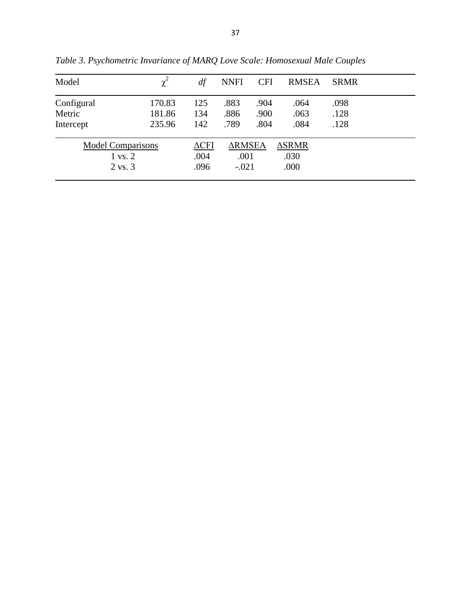| Model                    | $\chi^2$ | df           | <b>NNFI</b>   | <b>CFI</b> | <b>RMSEA</b>     | <b>SRMR</b> |
|--------------------------|----------|--------------|---------------|------------|------------------|-------------|
| Configural               | 170.83   | 125          | .883          | .904       | .064             | .098        |
| Metric                   | 181.86   | 134          | .886          | .900       | .063             | .128        |
| Intercept                | 235.96   | 142          | .789          | .804       | .084             | .128        |
| <b>Model Comparisons</b> |          | $\Delta$ CFI | <b>ARMSEA</b> |            | $\triangle$ SRMR |             |
| $1 \text{ vs. } 2$       |          | .004         | .001          |            | .030             |             |
| $2 \text{ vs. } 3$       |          | .096         | $-.021$       |            | .000             |             |

*Table 3. Psychometric Invariance of MARQ Love Scale: Homosexual Male Couples*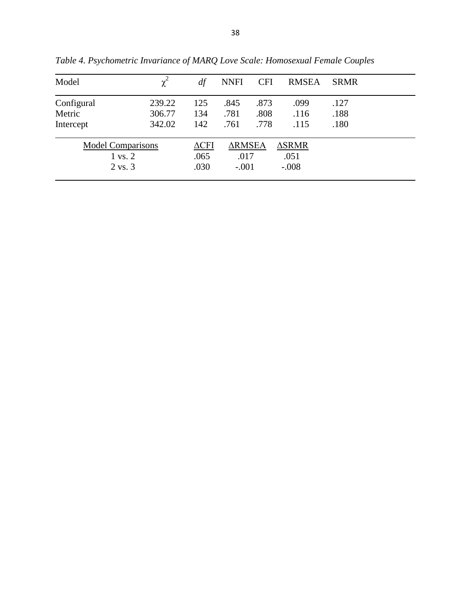| Model                    | $\chi^2$ | df           | <b>NNFI</b>   | <b>CFI</b> | <b>RMSEA</b>     | <b>SRMR</b> |
|--------------------------|----------|--------------|---------------|------------|------------------|-------------|
| Configural               | 239.22   | 125          | .845          | .873       | .099             | .127        |
| Metric                   | 306.77   | 134          | .781          | .808       | .116             | .188        |
| Intercept                | 342.02   | 142          | .761          | .778       | .115             | .180        |
| <b>Model Comparisons</b> |          | $\Delta$ CFI | <b>ARMSEA</b> |            | $\triangle$ SRMR |             |
| $1 \text{ vs. } 2$       |          | .065         | .017          |            | .051             |             |
| 2 vs. 3                  |          | .030         | $-.001$       |            | $-.008$          |             |

*Table 4. Psychometric Invariance of MARQ Love Scale: Homosexual Female Couples*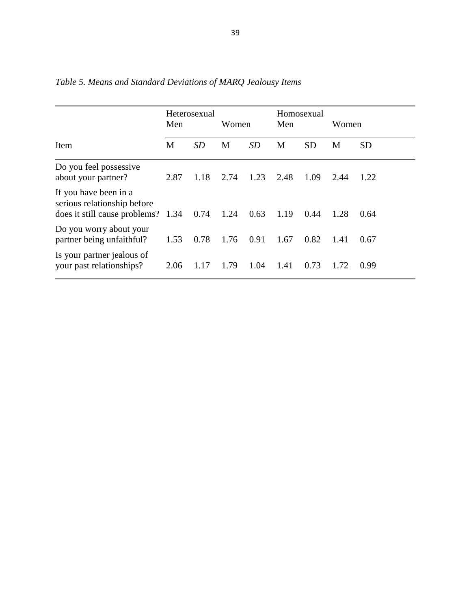|                                                                                            | Heterosexual<br>Men |           | Women |      | Homosexual<br>Men |           | Women |           |
|--------------------------------------------------------------------------------------------|---------------------|-----------|-------|------|-------------------|-----------|-------|-----------|
| Item                                                                                       | M                   | <b>SD</b> | M     | SD   | M                 | <b>SD</b> | M     | <b>SD</b> |
| Do you feel possessive<br>about your partner?                                              | 2.87                | 1.18      | 2.74  | 1.23 | 2.48              | 1.09      | 2.44  | 1.22      |
| If you have been in a<br>serious relationship before<br>does it still cause problems? 1.34 |                     | 0.74      | 1.24  | 0.63 | 1.19              | 0.44      | 1.28  | 0.64      |
| Do you worry about your<br>partner being unfaithful?                                       | 1.53                | 0.78      | 1.76  | 0.91 | 1.67              | 0.82      | 1.41  | 0.67      |
| Is your partner jealous of<br>your past relationships?                                     | 2.06                | 1.17      | 1.79  | 1.04 | 1.41              | 0.73      | 1.72  | 0.99      |

*Table 5. Means and Standard Deviations of MARQ Jealousy Items*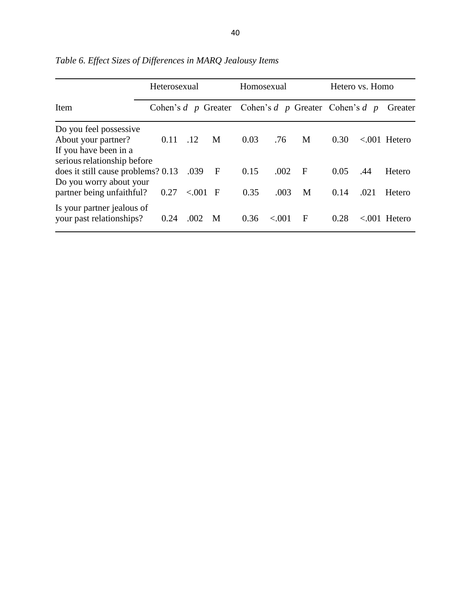|                                                        | Heterosexual                                              |           | Homosexual   |      |        | Hetero vs. Homo |      |      |                  |
|--------------------------------------------------------|-----------------------------------------------------------|-----------|--------------|------|--------|-----------------|------|------|------------------|
| Item                                                   | Cohen's $d$ p Greater Cohen's $d$ p Greater Cohen's $d$ p |           |              |      |        |                 |      |      | Greater          |
| Do you feel possessive                                 |                                                           |           |              |      |        |                 |      |      |                  |
| About your partner?                                    | 0.11                                                      | .12       | M            | 0.03 | .76    | M               | 0.30 |      | $< 0.001$ Hetero |
| If you have been in a<br>serious relationship before   |                                                           |           |              |      |        |                 |      |      |                  |
| does it still cause problems? 0.13                     |                                                           | .039      | $\mathbf{F}$ | 0.15 | .002   | $\mathbf{F}$    | 0.05 | .44  | Hetero           |
| Do you worry about your<br>partner being unfaithful?   | 0.27                                                      | $< 001$ F |              | 0.35 | .003   | M               | 0.14 | .021 | Hetero           |
| Is your partner jealous of<br>your past relationships? | 0.24                                                      | .002      | M            | 0.36 | < 0.01 | F               | 0.28 |      | $< 0.01$ Hetero  |

*Table 6. Effect Sizes of Differences in MARQ Jealousy Items*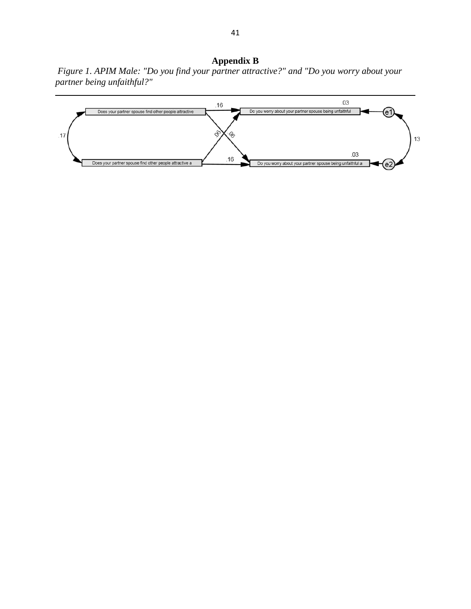**Appendix B** *Figure 1. APIM Male: "Do you find your partner attractive?" and "Do you worry about your partner being unfaithful?"* 

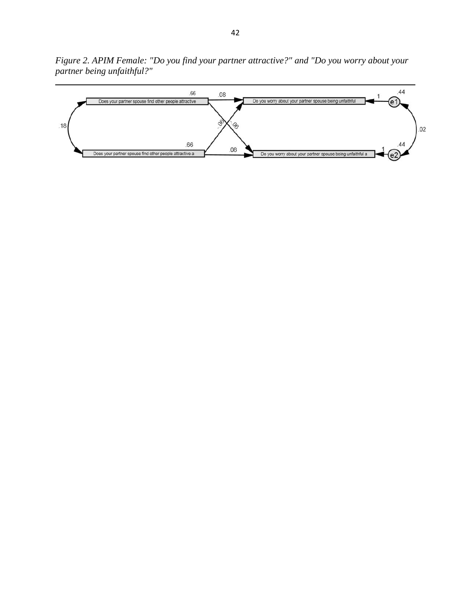*Figure 2. APIM Female: "Do you find your partner attractive?" and "Do you worry about your partner being unfaithful?"* 

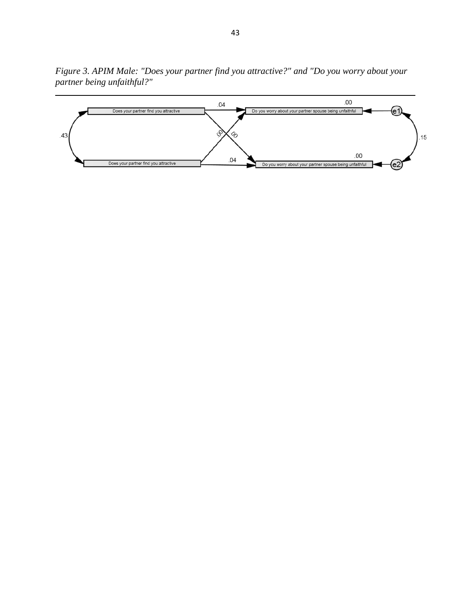*Figure 3. APIM Male: "Does your partner find you attractive?" and "Do you worry about your partner being unfaithful?"* 

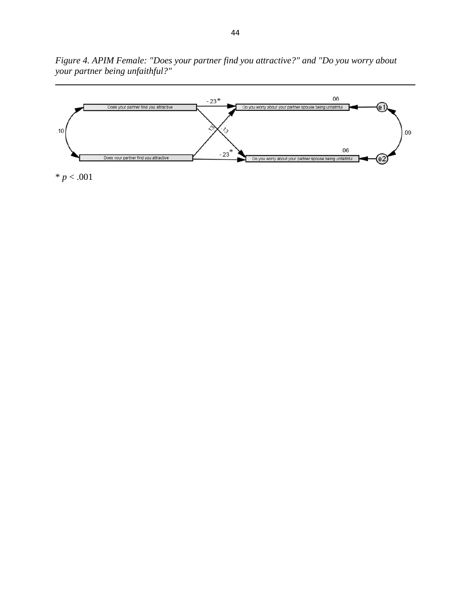*Figure 4. APIM Female: "Does your partner find you attractive?" and "Do you worry about your partner being unfaithful?"* 



44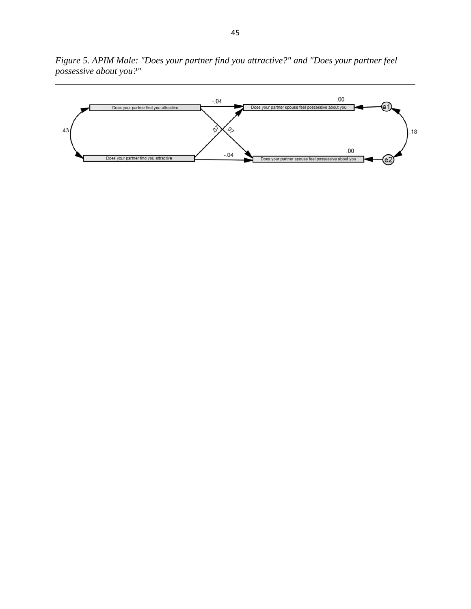*Figure 5. APIM Male: "Does your partner find you attractive?" and "Does your partner feel possessive about you?"* 

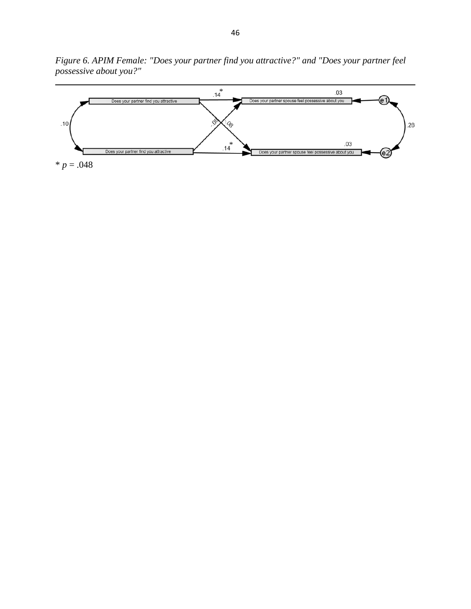*Figure 6. APIM Female: "Does your partner find you attractive?" and "Does your partner feel possessive about you?"* 

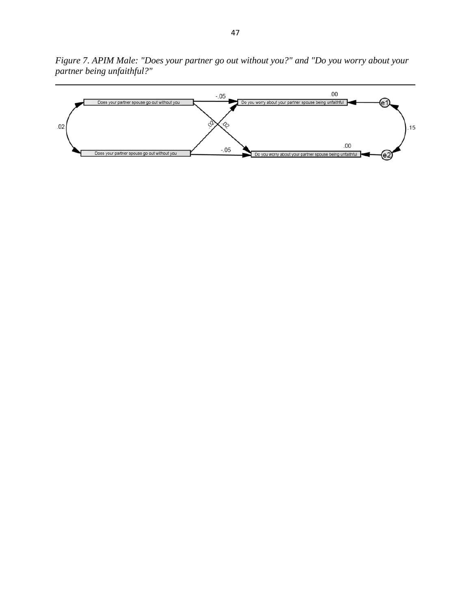*Figure 7. APIM Male: "Does your partner go out without you?" and "Do you worry about your partner being unfaithful?"* 

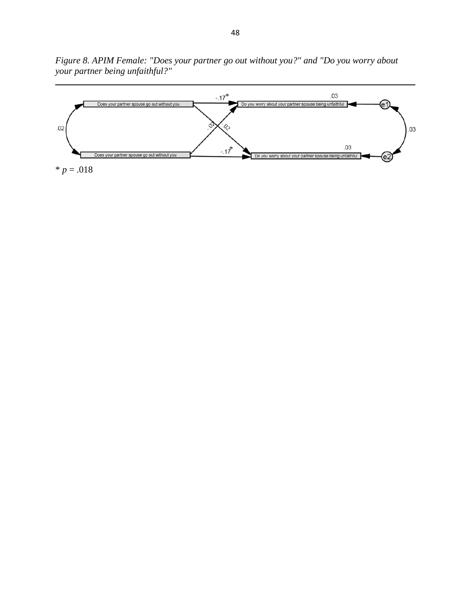*Figure 8. APIM Female: "Does your partner go out without you?" and "Do you worry about your partner being unfaithful?"* 

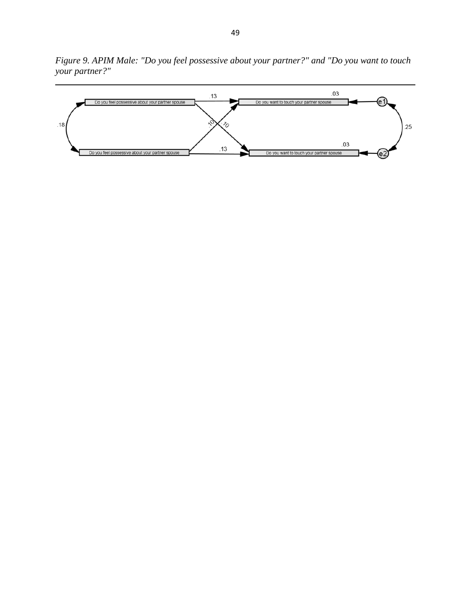*Figure 9. APIM Male: "Do you feel possessive about your partner?" and "Do you want to touch your partner?"* 

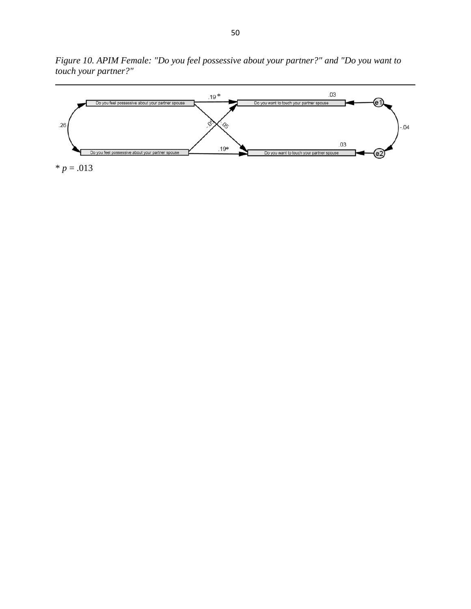*Figure 10. APIM Female: "Do you feel possessive about your partner?" and "Do you want to touch your partner?"* 

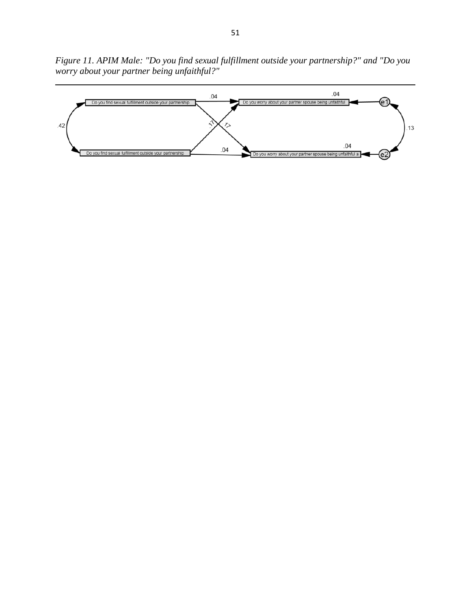*Figure 11. APIM Male: "Do you find sexual fulfillment outside your partnership?" and "Do you worry about your partner being unfaithful?"* 

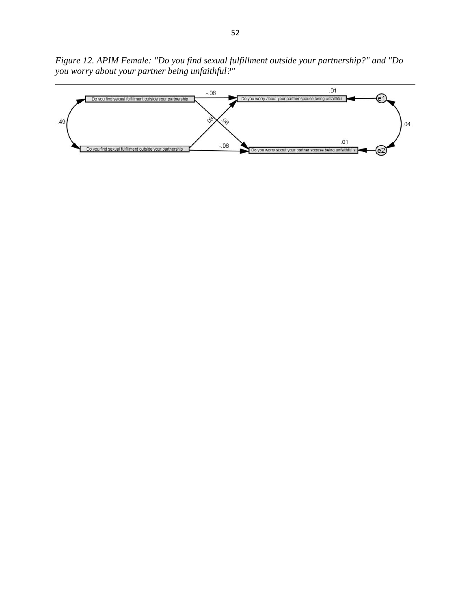*Figure 12. APIM Female: "Do you find sexual fulfillment outside your partnership?" and "Do you worry about your partner being unfaithful?"* 

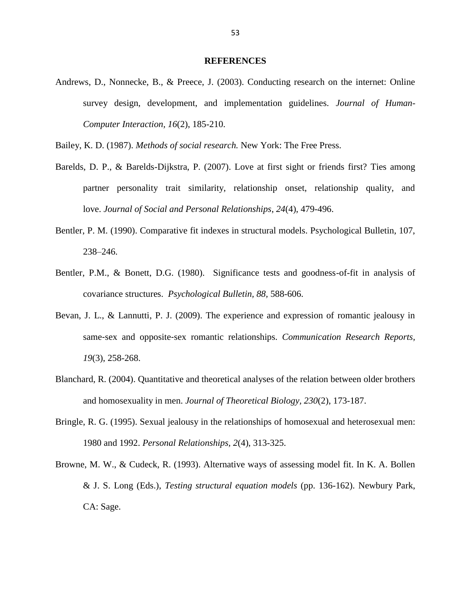#### **REFERENCES**

Andrews, D., Nonnecke, B., & Preece, J. (2003). Conducting research on the internet: Online survey design, development, and implementation guidelines. *Journal of Human-Computer Interaction, 16*(2), 185-210.

Bailey, K. D. (1987). *Methods of social research.* New York: The Free Press.

- Barelds, D. P., & Barelds-Dijkstra, P. (2007). Love at first sight or friends first? Ties among partner personality trait similarity, relationship onset, relationship quality, and love. *Journal of Social and Personal Relationships*, *24*(4), 479-496.
- Bentler, P. M. (1990). Comparative fit indexes in structural models. Psychological Bulletin, 107, 238–246.
- Bentler, P.M., & Bonett, D.G. (1980). Significance tests and goodness-of-fit in analysis of covariance structures. *Psychological Bulletin, 88,* 588-606.
- Bevan, J. L., & Lannutti, P. J. (2009). The experience and expression of romantic jealousy in same‐sex and opposite‐sex romantic relationships. *Communication Research Reports, 19*(3), 258-268.
- Blanchard, R. (2004). Quantitative and theoretical analyses of the relation between older brothers and homosexuality in men. *Journal of Theoretical Biology, 230*(2), 173-187.
- Bringle, R. G. (1995). Sexual jealousy in the relationships of homosexual and heterosexual men: 1980 and 1992. *Personal Relationships, 2*(4), 313-325.
- Browne, M. W., & Cudeck, R. (1993). Alternative ways of assessing model fit. In K. A. Bollen & J. S. Long (Eds.), *Testing structural equation models* (pp. 136-162). Newbury Park, CA: Sage.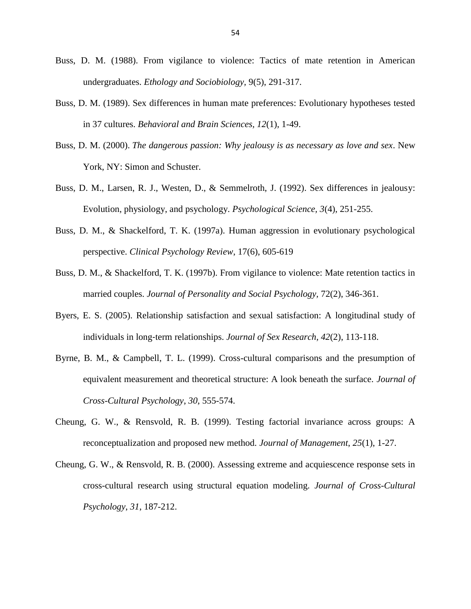- Buss, D. M. (1988). From vigilance to violence: Tactics of mate retention in American undergraduates. *Ethology and Sociobiology,* 9(5), 291-317.
- Buss, D. M. (1989). Sex differences in human mate preferences: Evolutionary hypotheses tested in 37 cultures. *Behavioral and Brain Sciences, 12*(1), 1-49.
- Buss, D. M. (2000). *The dangerous passion: Why jealousy is as necessary as love and sex*. New York, NY: Simon and Schuster.
- Buss, D. M., Larsen, R. J., Westen, D., & Semmelroth, J. (1992). Sex differences in jealousy: Evolution, physiology, and psychology. *Psychological Science, 3*(4), 251-255.
- Buss, D. M., & Shackelford, T. K. (1997a). Human aggression in evolutionary psychological perspective. *Clinical Psychology Review*, 17(6), 605-619
- Buss, D. M., & Shackelford, T. K. (1997b). From vigilance to violence: Mate retention tactics in married couples. *Journal of Personality and Social Psychology,* 72(2), 346-361.
- Byers, E. S. (2005). Relationship satisfaction and sexual satisfaction: A longitudinal study of individuals in long‐term relationships. *Journal of Sex Research, 42*(2), 113-118.
- Byrne, B. M., & Campbell, T. L. (1999). Cross-cultural comparisons and the presumption of equivalent measurement and theoretical structure: A look beneath the surface. *Journal of Cross-Cultural Psychology*, *30*, 555-574.
- Cheung, G. W., & Rensvold, R. B. (1999). Testing factorial invariance across groups: A reconceptualization and proposed new method. *Journal of Management*, *25*(1), 1-27.
- Cheung, G. W., & Rensvold, R. B. (2000). Assessing extreme and acquiescence response sets in cross-cultural research using structural equation modeling. *Journal of Cross-Cultural Psychology*, *31*, 187-212.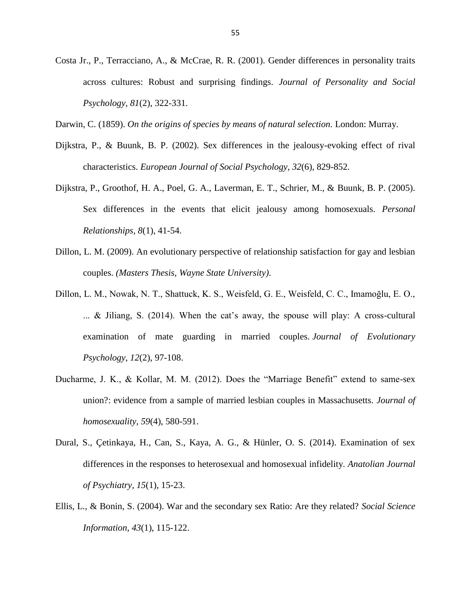Costa Jr., P., Terracciano, A., & McCrae, R. R. (2001). Gender differences in personality traits across cultures: Robust and surprising findings. *Journal of Personality and Social Psychology, 81*(2), 322-331.

Darwin, C. (1859). *On the origins of species by means of natural selection.* London: Murray.

- Dijkstra, P., & Buunk, B. P. (2002). Sex differences in the jealousy-evoking effect of rival characteristics. *European Journal of Social Psychology, 32*(6), 829-852.
- Dijkstra, P., Groothof, H. A., Poel, G. A., Laverman, E. T., Schrier, M., & Buunk, B. P. (2005). Sex differences in the events that elicit jealousy among homosexuals. *Personal Relationships, 8*(1), 41-54.
- Dillon, L. M. (2009). An evolutionary perspective of relationship satisfaction for gay and lesbian couples. *(Masters Thesis, Wayne State University)*.
- Dillon, L. M., Nowak, N. T., Shattuck, K. S., Weisfeld, G. E., Weisfeld, C. C., Imamoğlu, E. O.,  $\ldots$  & Jiliang, S. (2014). When the cat's away, the spouse will play: A cross-cultural examination of mate guarding in married couples. *Journal of Evolutionary Psychology*, *12*(2), 97-108.
- Ducharme, J. K., & Kollar, M. M. (2012). Does the "Marriage Benefit" extend to same-sex union?: evidence from a sample of married lesbian couples in Massachusetts. *Journal of homosexuality, 59*(4), 580-591.
- Dural, S., Çetinkaya, H., Can, S., Kaya, A. G., & Hünler, O. S. (2014). Examination of sex differences in the responses to heterosexual and homosexual infidelity. *Anatolian Journal of Psychiatry, 15*(1), 15-23.
- Ellis, L., & Bonin, S. (2004). War and the secondary sex Ratio: Are they related? *Social Science Information, 43*(1), 115-122.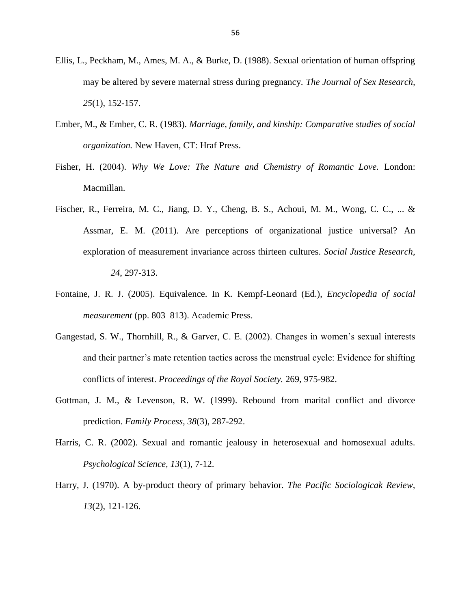- Ellis, L., Peckham, M., Ames, M. A., & Burke, D. (1988). Sexual orientation of human offspring may be altered by severe maternal stress during pregnancy. *The Journal of Sex Research, 25*(1), 152-157.
- Ember, M., & Ember, C. R. (1983). *Marriage, family, and kinship: Comparative studies of social organization.* New Haven, CT: Hraf Press.
- Fisher, H. (2004). *Why We Love: The Nature and Chemistry of Romantic Love.* London: Macmillan.
- Fischer, R., Ferreira, M. C., Jiang, D. Y., Cheng, B. S., Achoui, M. M., Wong, C. C., ... & Assmar, E. M. (2011). Are perceptions of organizational justice universal? An exploration of measurement invariance across thirteen cultures. *Social Justice Research*, *24*, 297-313.
- Fontaine, J. R. J. (2005). Equivalence. In K. Kempf-Leonard (Ed.), *Encyclopedia of social measurement* (pp. 803–813). Academic Press.
- Gangestad, S. W., Thornhill, R., & Garver, C. E.  $(2002)$ . Changes in women's sexual interests and their partner's mate retention tactics across the menstrual cycle: Evidence for shifting conflicts of interest. *Proceedings of the Royal Society.* 269, 975-982.
- Gottman, J. M., & Levenson, R. W. (1999). Rebound from marital conflict and divorce prediction. *Family Process, 38*(3), 287-292.
- Harris, C. R. (2002). Sexual and romantic jealousy in heterosexual and homosexual adults. *Psychological Science, 13*(1), 7-12.
- Harry, J. (1970). A by-product theory of primary behavior. *The Pacific Sociologicak Review, 13*(2), 121-126.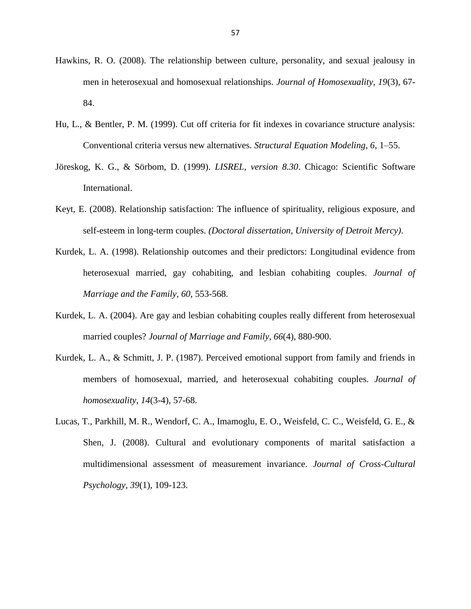- Hawkins, R. O. (2008). The relationship between culture, personality, and sexual jealousy in men in heterosexual and homosexual relationships. *Journal of Homosexuality, 19*(3), 67- 84.
- Hu, L., & Bentler, P. M. (1999). Cut off criteria for fit indexes in covariance structure analysis: Conventional criteria versus new alternatives. *Structural Equation Modeling, 6*, 1–55.
- Jöreskog, K. G., & Sörbom, D. (1999). *LISREL, version 8.30*. Chicago: Scientific Software International.
- Keyt, E. (2008). Relationship satisfaction: The influence of spirituality, religious exposure, and self-esteem in long-term couples. *(Doctoral dissertation, University of Detroit Mercy)*.
- Kurdek, L. A. (1998). Relationship outcomes and their predictors: Longitudinal evidence from heterosexual married, gay cohabiting, and lesbian cohabiting couples. *Journal of Marriage and the Family, 60*, 553-568.
- Kurdek, L. A. (2004). Are gay and lesbian cohabiting couples really different from heterosexual married couples? *Journal of Marriage and Family, 66*(4), 880-900.
- Kurdek, L. A., & Schmitt, J. P. (1987). Perceived emotional support from family and friends in members of homosexual, married, and heterosexual cohabiting couples. *Journal of homosexuality, 14*(3-4), 57-68.
- Lucas, T., Parkhill, M. R., Wendorf, C. A., Imamoglu, E. O., Weisfeld, C. C., Weisfeld, G. E., & Shen, J. (2008). Cultural and evolutionary components of marital satisfaction a multidimensional assessment of measurement invariance. *Journal of Cross-Cultural Psychology, 39*(1), 109-123.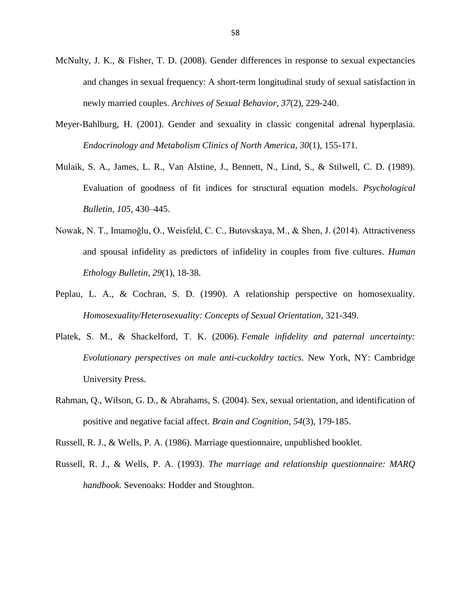- McNulty, J. K., & Fisher, T. D. (2008). Gender differences in response to sexual expectancies and changes in sexual frequency: A short-term longitudinal study of sexual satisfaction in newly married couples. *Archives of Sexual Behavior, 37*(2), 229-240.
- Meyer-Bahlburg, H. (2001). Gender and sexuality in classic congenital adrenal hyperplasia. *Endocrinology and Metabolism Clinics of North America, 30*(1), 155-171.
- Mulaik, S. A., James, L. R., Van Alstine, J., Bennett, N., Lind, S., & Stilwell, C. D. (1989). Evaluation of goodness of fit indices for structural equation models. *Psychological Bulletin, 105*, 430–445.
- Nowak, N. T., Imamoğlu, O., Weisfeld, C. C., Butovskaya, M., & Shen, J. (2014). Attractiveness and spousal infidelity as predictors of infidelity in couples from five cultures. *Human Ethology Bulletin, 29*(1), 18-38.
- Peplau, L. A., & Cochran, S. D. (1990). A relationship perspective on homosexuality. *Homosexuality/Heterosexuality: Concepts of Sexual Orientation*, 321-349.
- Platek, S. M., & Shackelford, T. K. (2006). *Female infidelity and paternal uncertainty: Evolutionary perspectives on male anti-cuckoldry tactics*. New York, NY: Cambridge University Press.
- Rahman, Q., Wilson, G. D., & Abrahams, S. (2004). Sex, sexual orientation, and identification of positive and negative facial affect. *Brain and Cognition, 54*(3), 179-185.

Russell, R. J., & Wells, P. A. (1986). Marriage questionnaire, unpublished booklet.

Russell, R. J., & Wells, P. A. (1993). *The marriage and relationship questionnaire: MARQ handbook.* Sevenoaks: Hodder and Stoughton.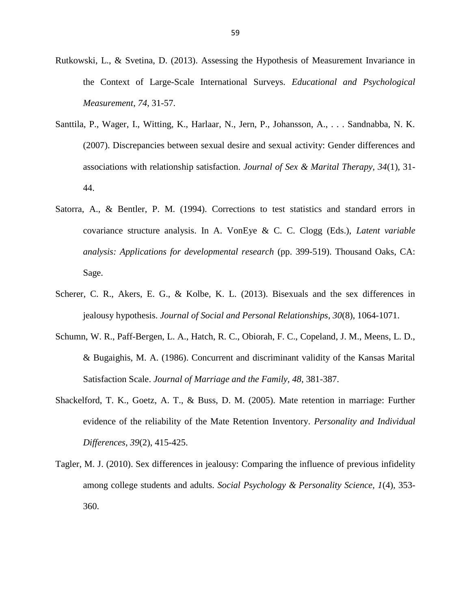- Rutkowski, L., & Svetina, D. (2013). Assessing the Hypothesis of Measurement Invariance in the Context of Large-Scale International Surveys. *Educational and Psychological Measurement*, *74*, 31-57.
- Santtila, P., Wager, I., Witting, K., Harlaar, N., Jern, P., Johansson, A., . . . Sandnabba, N. K. (2007). Discrepancies between sexual desire and sexual activity: Gender differences and associations with relationship satisfaction. *Journal of Sex & Marital Therapy, 34*(1), 31- 44.
- Satorra, A., & Bentler, P. M. (1994). Corrections to test statistics and standard errors in covariance structure analysis. In A. VonEye & C. C. Clogg (Eds.), *Latent variable analysis: Applications for developmental research* (pp. 399-519). Thousand Oaks, CA: Sage.
- Scherer, C. R., Akers, E. G., & Kolbe, K. L. (2013). Bisexuals and the sex differences in jealousy hypothesis. *Journal of Social and Personal Relationships, 30*(8), 1064-1071.
- Schumn, W. R., Paff-Bergen, L. A., Hatch, R. C., Obiorah, F. C., Copeland, J. M., Meens, L. D., & Bugaighis, M. A. (1986). Concurrent and discriminant validity of the Kansas Marital Satisfaction Scale. *Journal of Marriage and the Family, 48*, 381-387.
- Shackelford, T. K., Goetz, A. T., & Buss, D. M. (2005). Mate retention in marriage: Further evidence of the reliability of the Mate Retention Inventory. *Personality and Individual Differences*, *39*(2), 415-425.
- Tagler, M. J. (2010). Sex differences in jealousy: Comparing the influence of previous infidelity among college students and adults. *Social Psychology & Personality Science, 1*(4), 353- 360.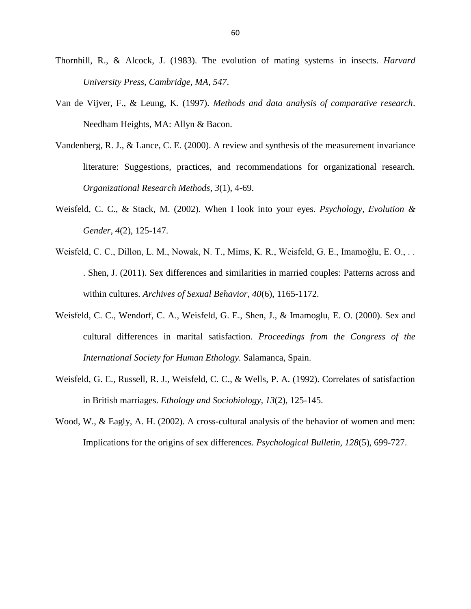- Thornhill, R., & Alcock, J. (1983). The evolution of mating systems in insects. *Harvard University Press, Cambridge, MA*, *547*.
- Van de Vijver, F., & Leung, K. (1997). *Methods and data analysis of comparative research*. Needham Heights, MA: Allyn & Bacon.
- Vandenberg, R. J., & Lance, C. E. (2000). A review and synthesis of the measurement invariance literature: Suggestions, practices, and recommendations for organizational research. *Organizational Research Methods*, *3*(1), 4-69.
- Weisfeld, C. C., & Stack, M. (2002). When I look into your eyes. *Psychology, Evolution & Gender, 4*(2), 125-147.
- Weisfeld, C. C., Dillon, L. M., Nowak, N. T., Mims, K. R., Weisfeld, G. E., Imamoğlu, E. O., .. . Shen, J. (2011). Sex differences and similarities in married couples: Patterns across and within cultures. *Archives of Sexual Behavior, 40*(6), 1165-1172.
- Weisfeld, C. C., Wendorf, C. A., Weisfeld, G. E., Shen, J., & Imamoglu, E. O. (2000). Sex and cultural differences in marital satisfaction. *Proceedings from the Congress of the International Society for Human Ethology.* Salamanca, Spain.
- Weisfeld, G. E., Russell, R. J., Weisfeld, C. C., & Wells, P. A. (1992). Correlates of satisfaction in British marriages. *Ethology and Sociobiology, 13*(2), 125-145.
- Wood, W., & Eagly, A. H. (2002). A cross-cultural analysis of the behavior of women and men: Implications for the origins of sex differences. *Psychological Bulletin, 128*(5), 699-727.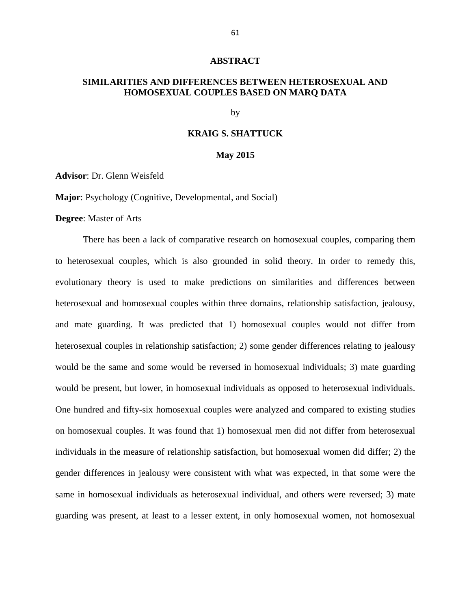#### **ABSTRACT**

# **SIMILARITIES AND DIFFERENCES BETWEEN HETEROSEXUAL AND HOMOSEXUAL COUPLES BASED ON MARQ DATA**

by

# **KRAIG S. SHATTUCK**

#### **May 2015**

**Advisor**: Dr. Glenn Weisfeld

**Major**: Psychology (Cognitive, Developmental, and Social)

**Degree**: Master of Arts

There has been a lack of comparative research on homosexual couples, comparing them to heterosexual couples, which is also grounded in solid theory. In order to remedy this, evolutionary theory is used to make predictions on similarities and differences between heterosexual and homosexual couples within three domains, relationship satisfaction, jealousy, and mate guarding. It was predicted that 1) homosexual couples would not differ from heterosexual couples in relationship satisfaction; 2) some gender differences relating to jealousy would be the same and some would be reversed in homosexual individuals; 3) mate guarding would be present, but lower, in homosexual individuals as opposed to heterosexual individuals. One hundred and fifty-six homosexual couples were analyzed and compared to existing studies on homosexual couples. It was found that 1) homosexual men did not differ from heterosexual individuals in the measure of relationship satisfaction, but homosexual women did differ; 2) the gender differences in jealousy were consistent with what was expected, in that some were the same in homosexual individuals as heterosexual individual, and others were reversed; 3) mate guarding was present, at least to a lesser extent, in only homosexual women, not homosexual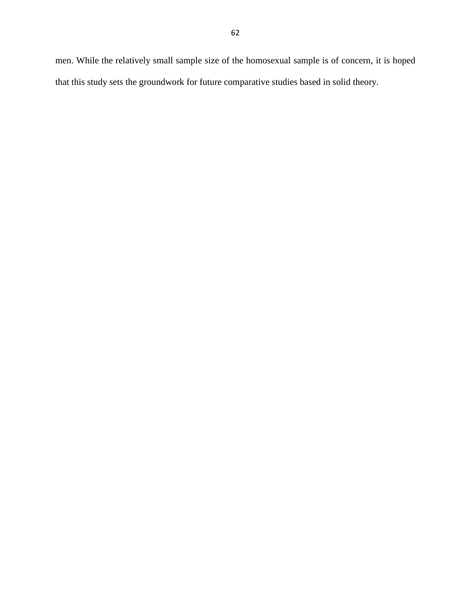men. While the relatively small sample size of the homosexual sample is of concern, it is hoped that this study sets the groundwork for future comparative studies based in solid theory.